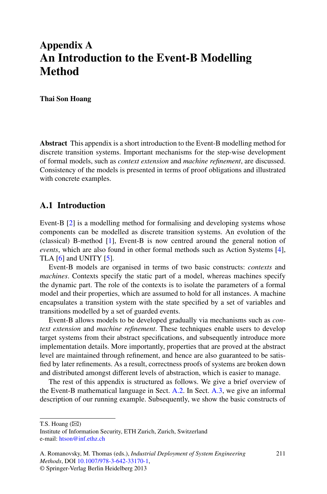# **Appendix A An Introduction to the Event-B Modelling Method**

**Thai Son Hoang**

**Abstract** This appendix is a short introduction to the Event-B modelling method for discrete transition systems. Important mechanisms for the step-wise development of formal models, such as *context extension* and *machine refinement*, are discussed. Consistency of the models is presented in terms of proof obligations and illustrated with concrete examples.

### **A.1 Introduction**

Event-B [\[2](#page-25-0)] is a modelling method for formalising and developing systems whose components can be modelled as discrete transition systems. An evolution of the (classical) B-method [\[1](#page-25-1)], Event-B is now centred around the general notion of *events*, which are also found in other formal methods such as Action Systems [[4\]](#page-25-2), TLA [[6\]](#page-25-3) and UNITY [\[5](#page-25-4)].

Event-B models are organised in terms of two basic constructs: *contexts* and *machines*. Contexts specify the static part of a model, whereas machines specify the dynamic part. The role of the contexts is to isolate the parameters of a formal model and their properties, which are assumed to hold for all instances. A machine encapsulates a transition system with the state specified by a set of variables and transitions modelled by a set of guarded events.

Event-B allows models to be developed gradually via mechanisms such as *context extension* and *machine refinement*. These techniques enable users to develop target systems from their abstract specifications, and subsequently introduce more implementation details. More importantly, properties that are proved at the abstract level are maintained through refinement, and hence are also guaranteed to be satisfied by later refinements. As a result, correctness proofs of systems are broken down and distributed amongst different levels of abstraction, which is easier to manage.

The rest of this appendix is structured as follows. We give a brief overview of the Event-B mathematical language in Sect. [A.2.](#page-1-0) In Sect. [A.3](#page-3-0), we give an informal description of our running example. Subsequently, we show the basic constructs of

T.S. Hoang  $(\boxtimes)$ 

Institute of Information Security, ETH Zurich, Zurich, Switzerland e-mail: [htson@inf.ethz.ch](mailto:htson@inf.ethz.ch)

A. Romanovsky, M. Thomas (eds.), *Industrial Deployment of System Engineering Methods*, DOI [10.1007/978-3-642-33170-1,](http://dx.doi.org/10.1007/978-3-642-33170-1)

<sup>©</sup> Springer-Verlag Berlin Heidelberg 2013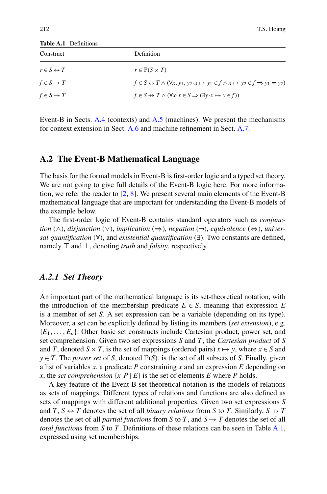| Construct                   | Definition                                                                                                                          |
|-----------------------------|-------------------------------------------------------------------------------------------------------------------------------------|
| $r \in S \leftrightarrow T$ | $r \in \mathbb{P}(S \times T)$                                                                                                      |
| $f \in S \rightarrow T$     | $f \in S \leftrightarrow T \wedge (\forall x, y_1, y_2 \cdot x \mapsto y_1 \in f \wedge x \mapsto y_2 \in f \Rightarrow y_1 = y_2)$ |
| $f \in S \rightarrow T$     | $f \in S \rightarrow T \wedge (\forall x \cdot x \in S \Rightarrow (\exists y \cdot x \mapsto y \in f))$                            |

<span id="page-1-1"></span>**Table A.1** Definitions

<span id="page-1-0"></span>Event-B in Sects. [A.4](#page-4-0) (contexts) and [A.5](#page-6-0) (machines). We present the mechanisms for context extension in Sect. [A.6](#page-13-0) and machine refinement in Sect. [A.7.](#page-14-0)

### **A.2 The Event-B Mathematical Language**

The basis for the formal models in Event-B is first-order logic and a typed set theory. We are not going to give full details of the Event-B logic here. For more information, we refer the reader to [[2,](#page-25-0) [8\]](#page-25-5). We present several main elements of the Event-B mathematical language that are important for understanding the Event-B models of the example below.

The first-order logic of Event-B contains standard operators such as *conjunction*  $(\wedge)$ , *disjunction*  $(\vee)$ , *implication*  $(\Rightarrow)$ , *negation*  $(\neg)$ , *equivalence*  $(\Leftrightarrow)$ , *universal quantification* (∀), and *existential quantification* (∃). Two constants are defined, namely  $\top$  and  $\bot$ , denoting *truth* and *falsity*, respectively.

### *A.2.1 Set Theory*

An important part of the mathematical language is its set-theoretical notation, with the introduction of the membership predicate  $E \in S$ , meaning that expression  $E$ is a member of set *S*. A set expression can be a variable (depending on its type). Moreover, a set can be explicitly defined by listing its members (*set extension*), e.g. {*E*1*,...,En*}. Other basic set constructs include Cartesian product, power set, and set comprehension. Given two set expressions *S* and *T*, the *Cartesian product* of *S* and *T*, denoted *S* × *T*, is the set of mappings (ordered pairs)  $x \mapsto y$ , where  $x \in S$  and *y* ∈ *T*. The *power set* of *S*, denoted  $\mathbb{P}(S)$ , is the set of all subsets of *S*. Finally, given a list of variables *x*, a predicate *P* constraining *x* and an expression *E* depending on *x*, the *set comprehension*  $\{x \cdot P \mid E\}$  is the set of elements *E* where *P* holds.

A key feature of the Event-B set-theoretical notation is the models of relations as sets of mappings. Different types of relations and functions are also defined as sets of mappings with different additional properties. Given two set expressions *S* and *T*,  $S \leftrightarrow T$  denotes the set of all *binary relations* from *S* to *T*. Similarly,  $S \rightarrow T$ denotes the set of all *partial functions* from *S* to *T*, and  $S \rightarrow T$  denotes the set of all *total functions* from *S* to *T*. Definitions of these relations can be seen in Table [A.1,](#page-1-1) expressed using set memberships.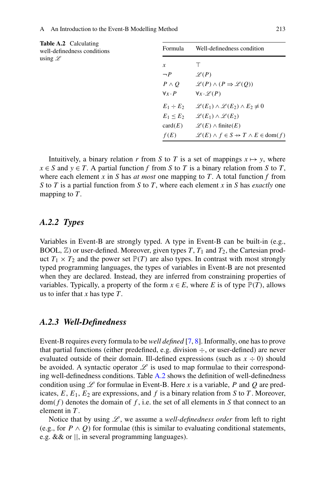<span id="page-2-0"></span>

| <b>Table A.2</b> Calculating<br>well-definedness conditions | Formula             | Well-definedness condition                                                  |
|-------------------------------------------------------------|---------------------|-----------------------------------------------------------------------------|
| using $\mathscr L$                                          | $\mathcal{X}$       | Τ                                                                           |
|                                                             | $\neg P$            | $\mathscr{L}(P)$                                                            |
|                                                             | $P \wedge Q$        | $\mathscr{L}(P) \wedge (P \Rightarrow \mathscr{L}(O))$                      |
|                                                             | $\forall x \cdot P$ | $\forall x \cdot \mathscr{L}(P)$                                            |
|                                                             |                     | $E_1 \div E_2$ $\mathscr{L}(E_1) \wedge \mathscr{L}(E_2) \wedge E_2 \neq 0$ |
|                                                             |                     | $E_1 \le E_2$ $\mathscr{L}(E_1) \wedge \mathscr{L}(E_2)$                    |
|                                                             | card(E)             | $\mathscr{L}(E) \wedge \text{finite}(E)$                                    |
|                                                             | f(E)                | $\mathscr{L}(E) \wedge f \in S \rightarrow T \wedge E \in \text{dom}(f)$    |

Intuitively, a binary relation *r* from *S* to *T* is a set of mappings  $x \mapsto y$ , where  $x \in S$  and  $y \in T$ . A partial function *f* from *S* to *T* is a binary relation from *S* to *T*, where each element *x* in *S* has *at most* one mapping to *T*. A total function *f* from *S* to *T* is a partial function from *S* to *T*, where each element *x* in *S* has *exactly* one mapping to *T*.

### *A.2.2 Types*

Variables in Event-B are strongly typed. A type in Event-B can be built-in (e.g., BOOL,  $\mathbb{Z}$ ) or user-defined. Moreover, given types *T*,  $T_1$  and  $T_2$ , the Cartesian product  $T_1 \times T_2$  and the power set  $\mathbb{P}(T)$  are also types. In contrast with most strongly typed programming languages, the types of variables in Event-B are not presented when they are declared. Instead, they are inferred from constraining properties of variables. Typically, a property of the form  $x \in E$ , where *E* is of type  $\mathbb{P}(T)$ , allows us to infer that *x* has type *T*.

### *A.2.3 Well-Definedness*

Event-B requires every formula to be *well defined* [[7,](#page-25-6) [8\]](#page-25-5). Informally, one has to prove that partial functions (either predefined, e.g. division  $\div$ , or user-defined) are never evaluated outside of their domain. Ill-defined expressions (such as  $x \div 0$ ) should be avoided. A syntactic operator  $\mathscr L$  is used to map formulae to their corresponding well-definedness conditions. Table [A.2](#page-2-0) shows the definition of well-definedness condition using  $\mathscr L$  for formulae in Event-B. Here *x* is a variable, *P* and *Q* are predicates,  $E$ ,  $E_1$ ,  $E_2$  are expressions, and  $f$  is a binary relation from  $S$  to  $T$ . Moreover,  $dom(f)$  denotes the domain of  $f$ , i.e. the set of all elements in  $S$  that connect to an element in *T* .

Notice that by using  $\mathscr{L}$ , we assume a *well-definedness order* from left to right (e.g., for *P*  $\land$  *Q*) for formulae (this is similar to evaluating conditional statements, e.g. && or ||, in several programming languages).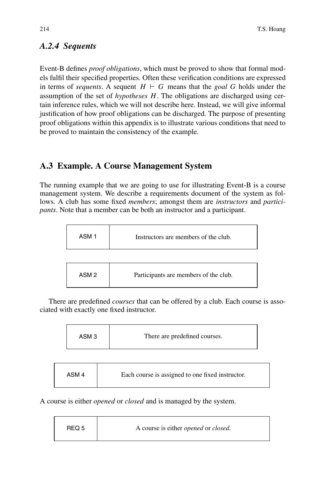# *A.2.4 Sequents*

<span id="page-3-0"></span>Event-B defines *proof obligations*, which must be proved to show that formal models fulfil their specified properties. Often these verification conditions are expressed in terms of *sequents*. A sequent  $H \vdash G$  means that the *goal G* holds under the assumption of the set of *hypotheses H*. The obligations are discharged using certain inference rules, which we will not describe here. Instead, we will give informal justification of how proof obligations can be discharged. The purpose of presenting proof obligations within this appendix is to illustrate various conditions that need to be proved to maintain the consistency of the example.

# **A.3 Example. A Course Management System**

The running example that we are going to use for illustrating Event-B is a course management system. We describe a requirements document of the system as follows. A club has some fixed *members*; amongst them are *instructors* and *participants*. Note that a member can be both an instructor and a participant.

<span id="page-3-4"></span><span id="page-3-3"></span>

| ASM <sub>1</sub> | Instructors are members of the club. |
|------------------|--------------------------------------|
|                  |                                      |

<span id="page-3-1"></span>

| ASM <sub>2</sub> | Participants are members of the club. |
|------------------|---------------------------------------|
|------------------|---------------------------------------|

There are predefined *courses* that can be offered by a club. Each course is associated with exactly one fixed instructor.

<span id="page-3-5"></span><span id="page-3-2"></span>

| There are predefined courses.<br>ASM <sub>3</sub> |
|---------------------------------------------------|
|---------------------------------------------------|

| ASM <sub>4</sub> | Each course is assigned to one fixed instructor. |
|------------------|--------------------------------------------------|
|------------------|--------------------------------------------------|

A course is either *opened* or *closed* and is managed by the system.

| REQ 5 | A course is either <i>opened</i> or <i>closed</i> . |
|-------|-----------------------------------------------------|
|-------|-----------------------------------------------------|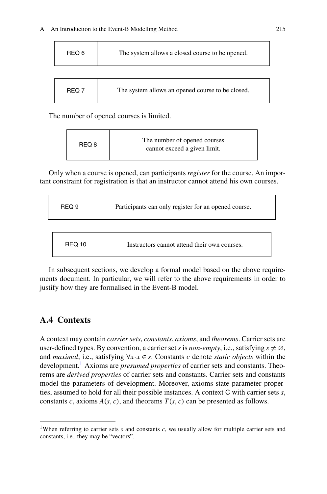<span id="page-4-4"></span><span id="page-4-3"></span>

| REQ 6 | The system allows a closed course to be opened. |
|-------|-------------------------------------------------|
|       |                                                 |

<span id="page-4-2"></span>

| REQ 7 | The system allows an opened course to be closed. |  |
|-------|--------------------------------------------------|--|
|-------|--------------------------------------------------|--|

The number of opened courses is limited.

<span id="page-4-6"></span><span id="page-4-5"></span>

| REQ 8 | The number of opened courses<br>cannot exceed a given limit. |
|-------|--------------------------------------------------------------|
|-------|--------------------------------------------------------------|

Only when a course is opened, can participants *register* for the course. An important constraint for registration is that an instructor cannot attend his own courses.

| REQ 9 | Participants can only register for an opened course. |
|-------|------------------------------------------------------|
|       |                                                      |

| <b>REQ 10</b> | Instructors cannot attend their own courses. |
|---------------|----------------------------------------------|
|               |                                              |

<span id="page-4-0"></span>In subsequent sections, we develop a formal model based on the above requirements document. In particular, we will refer to the above requirements in order to justify how they are formalised in the Event-B model.

# **A.4 Contexts**

<span id="page-4-1"></span>A context may contain *carrier sets*, *constants*, *axioms*, and *theorems*. Carrier sets are user-defined types. By convention, a carrier set *s* is *non-empty*, i.e., satisfying  $s \neq \emptyset$ , and *maximal*, i.e., satisfying ∀*x*·*x* ∈ *s*. Constants *c* denote *static objects* within the development[.1](#page-4-1) Axioms are *presumed properties* of carrier sets and constants. Theorems are *derived properties* of carrier sets and constants. Carrier sets and constants model the parameters of development. Moreover, axioms state parameter properties, assumed to hold for all their possible instances. A context C with carrier sets *s*, constants *c*, axioms  $A(s, c)$ , and theorems  $T(s, c)$  can be presented as follows.

<sup>&</sup>lt;sup>1</sup>When referring to carrier sets *s* and constants *c*, we usually allow for multiple carrier sets and constants, i.e., they may be "vectors".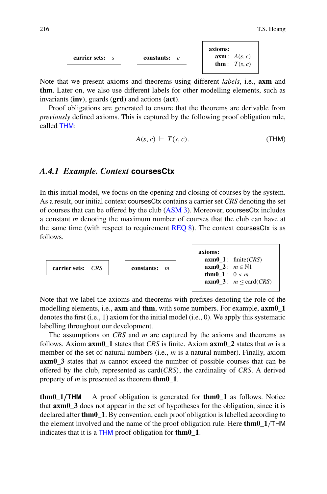

Note that we present axioms and theorems using different *labels*, i.e., **axm** and **thm**. Later on, we also use different labels for other modelling elements, such as invariants (**inv**), guards (**grd**) and actions (**act**).

<span id="page-5-1"></span>Proof obligations are generated to ensure that the theorems are derivable from *previously* defined axioms. This is captured by the following proof obligation rule, called [THM](#page-5-0):

<span id="page-5-0"></span>
$$
A(s,c) \vdash T(s,c). \tag{THM}
$$

### *A.4.1 Example. Context* **coursesCtx**

In this initial model, we focus on the opening and closing of courses by the system. As a result, our initial context coursesCtx contains a carrier set *CRS* denoting the set of courses that can be offered by the club ([ASM 3\)](#page-3-1). Moreover, coursesCtx includes a constant *m* denoting the maximum number of courses that the club can have at the same time (with respect to requirement  $REQ$  8). The context coursesCtx is as follows.



Note that we label the axioms and theorems with prefixes denoting the role of the modelling elements, i.e., **axm** and **thm**, with some numbers. For example, **axm0**\_**1** denotes the first (i.e., 1) axiom for the initial model (i.e., 0). We apply this systematic labelling throughout our development.

The assumptions on *CRS* and *m* are captured by the axioms and theorems as follows. Axiom **axm0**\_**1** states that *CRS* is finite. Axiom **axm0**\_**2** states that *m* is a member of the set of natural numbers (i.e., *m* is a natural number). Finally, axiom **axm0**\_**3** states that *m* cannot exceed the number of possible courses that can be offered by the club, represented as card*(CRS)*, the cardinality of *CRS*. A derived property of *m* is presented as theorem **thm0**\_**1**.

**thm0\_1***/***THM** A proof obligation is generated for **thm0**\_**1** as follows. Notice that **axm0**\_**3** does not appear in the set of hypotheses for the obligation, since it is declared after **thm0**\_**1**. By convention, each proof obligation is labelled according to the element involved and the name of the proof obligation rule. Here **thm0**\_**1***/*THM indicates that it is a [THM](#page-5-0) proof obligation for **thm0**\_**1**.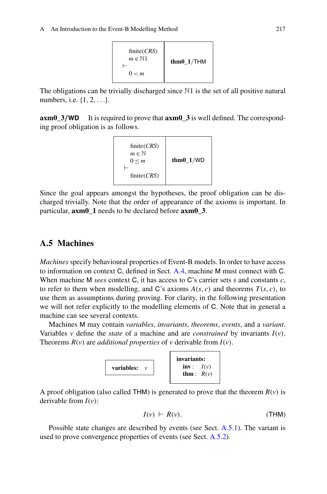| $thm0_1/THM$ |
|--------------|
|              |
|              |

The obligations can be trivially discharged since  $\mathbb{N}1$  is the set of all positive natural numbers, i.e. {1*,* 2*,...*}.

**axm0\_3***/***WD** It is required to prove that **axm0**\_**3** is well defined. The corresponding proof obligation is as follows.

| finite( $CRS$ )<br>$m \in \mathbb{N}$<br>$0 \leq m$ | $thm0_1/WD$ |
|-----------------------------------------------------|-------------|
| finite( $CRS$ )                                     |             |

<span id="page-6-0"></span>Since the goal appears amongst the hypotheses, the proof obligation can be discharged trivially. Note that the order of appearance of the axioms is important. In particular, **axm0**\_**1** needs to be declared before **axm0**\_**3**.

# **A.5 Machines**

*Machines* specify behavioural properties of Event-B models. In order to have access to information on context C, defined in Sect. [A.4,](#page-4-0) machine M must connect with C. When machine M *sees* context C, it has access to C's carrier sets *s* and constants *c*, to refer to them when modelling, and C's axioms  $A(s, c)$  and theorems  $T(s, c)$ , to use them as assumptions during proving. For clarity, in the following presentation we will not refer explicitly to the modelling elements of C. Note that in general a machine can see several contexts.

Machines M may contain *variables*, *invariants*, *theorems*, *events*, and a *variant*. Variables *v* define the *state* of a machine and are *constrained* by invariants  $I(v)$ . Theorems  $R(v)$  are *additional properties* of *v* derivable from  $I(v)$ .



A proof obligation (also called THM) is generated to prove that the theorem  $R(v)$  is derivable from *I(v)*:

<span id="page-6-1"></span>
$$
I(v) \vdash R(v). \tag{THM}
$$

Possible state changes are described by events (see Sect. [A.5.1\)](#page-7-0). The variant is used to prove convergence properties of events (see Sect. [A.5.2](#page-9-0)).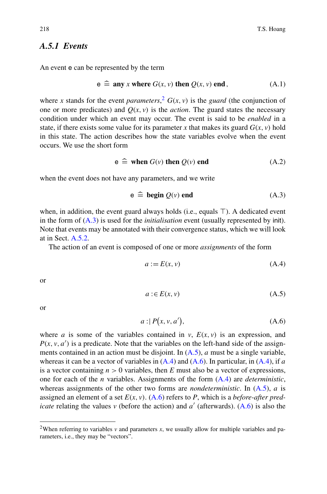## <span id="page-7-0"></span>*A.5.1 Events*

An event e can be represented by the term

$$
e \,\,\widehat{=}\,\, \text{any } x \text{ where } G(x, v) \text{ then } Q(x, v) \text{ end}, \tag{A.1}
$$

where *x* stands for the event *parameters*,<sup>[2](#page-7-1)</sup>  $G(x, v)$  is the *guard* (the conjunction of one or more predicates) and  $O(x, y)$  is the *action*. The guard states the necessary condition under which an event may occur. The event is said to be *enabled* in a state, if there exists some value for its parameter x that makes its guard  $G(x, y)$  hold in this state. The action describes how the state variables evolve when the event occurs. We use the short form

<span id="page-7-2"></span>
$$
e \,\,\widehat{=}\,\, when\,\, G(v) \text{ then } Q(v) \text{ end } \tag{A.2}
$$

when the event does not have any parameters, and we write

<span id="page-7-4"></span>
$$
e \,\,\widehat{=}\,\, \text{begin}\,\, Q(v) \text{ end} \tag{A.3}
$$

when, in addition, the event guard always holds (i.e., equals  $\top$ ). A dedicated event in the form of [\(A.3\)](#page-7-2) is used for the *initialisation* event (usually represented by init). Note that events may be annotated with their convergence status, which we will look at in Sect. [A.5.2.](#page-9-0)

The action of an event is composed of one or more *assignments* of the form

<span id="page-7-5"></span><span id="page-7-3"></span>
$$
a := E(x, v) \tag{A.4}
$$

or

$$
a: \in E(x, v) \tag{A.5}
$$

or

$$
a: |P(x, v, a'), \tag{A.6}
$$

<span id="page-7-1"></span>where *a* is some of the variables contained in *v*,  $E(x, y)$  is an expression, and  $P(x, y, a')$  is a predicate. Note that the variables on the left-hand side of the assignments contained in an action must be disjoint. In [\(A.5\)](#page-7-3), *a* must be a single variable, whereas it can be a vector of variables in  $(A.4)$  $(A.4)$  $(A.4)$  and  $(A.6)$  $(A.6)$  $(A.6)$ . In particular, in  $(A.4)$  $(A.4)$ , if *a* is a vector containing  $n > 0$  variables, then  $E$  must also be a vector of expressions, one for each of the *n* variables. Assignments of the form [\(A.4\)](#page-7-4) are *deterministic*, whereas assignments of the other two forms are *nondeterministic*. In [\(A.5\)](#page-7-3), *a* is assigned an element of a set  $E(x, y)$ . [\(A.6\)](#page-7-5) refers to P, which is a *before-after predicate* relating the values  $\nu$  (before the action) and  $a'$  (afterwards). ([A.6](#page-7-5)) is also the

<sup>&</sup>lt;sup>2</sup>When referring to variables  $\nu$  and parameters *x*, we usually allow for multiple variables and parameters, i.e., they may be "vectors".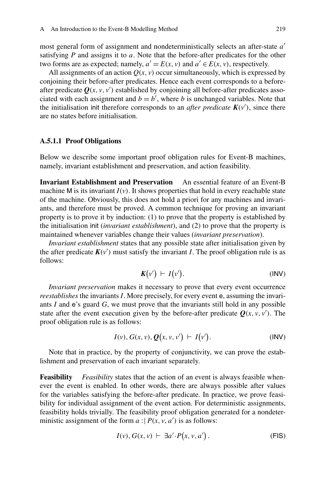most general form of assignment and nondeterministically selects an after-state *a* satisfying *P* and assigns it to *a*. Note that the before-after predicates for the other two forms are as expected; namely,  $a' = E(x, y)$  and  $a' \in E(x, y)$ , respectively.

All assignments of an action  $Q(x, y)$  occur simultaneously, which is expressed by conjoining their before-after predicates. Hence each event corresponds to a beforeafter predicate  $Q(x, v, v')$  established by conjoining all before-after predicates associated with each assignment and  $b = b'$ , where *b* is unchanged variables. Note that the initialisation init therefore corresponds to an *after predicate*  $K(v')$ , since there are no states before initialisation.

#### **A.5.1.1 Proof Obligations**

Below we describe some important proof obligation rules for Event-B machines, namely, invariant establishment and preservation, and action feasibility.

**Invariant Establishment and Preservation** An essential feature of an Event-B machine M is its invariant  $I(v)$ . It shows properties that hold in every reachable state of the machine. Obviously, this does not hold a priori for any machines and invariants, and therefore must be proved. A common technique for proving an invariant property is to prove it by induction: (1) to prove that the property is established by the initialisation init (*invariant establishment*), and (2) to prove that the property is maintained whenever variables change their values (*invariant preservation*).

*Invariant establishment* states that any possible state after initialisation given by the after predicate  $K(v')$  must satisfy the invariant *I*. The proof obligation rule is as follows:

<span id="page-8-1"></span>
$$
K(v') \vdash I(v'). \tag{INV}
$$

*Invariant preservation* makes it necessary to prove that every event occurrence *reestablishes* the invariants *I*. More precisely, for every event e, assuming the invariants *I* and e's guard *G*, we must prove that the invariants still hold in any possible state after the event execution given by the before-after predicate  $Q(x, y, y')$ . The proof obligation rule is as follows:

<span id="page-8-0"></span>
$$
I(v), G(x, v), Q(x, v, v') \vdash I(v'). \qquad (INV)
$$

Note that in practice, by the property of conjunctivity, we can prove the establishment and preservation of each invariant separately.

**Feasibility** *Feasibility* states that the action of an event is always feasible whenever the event is enabled. In other words, there are always possible after values for the variables satisfying the before-after predicate. In practice, we prove feasibility for individual assignment of the event action. For deterministic assignments, feasibility holds trivially. The feasibility proof obligation generated for a nondeterministic assignment of the form  $a$  :  $P(x, y, a')$  is as follows:

$$
I(v), G(x, v) \vdash \exists a' \cdot P(x, v, a'). \tag{FIS}
$$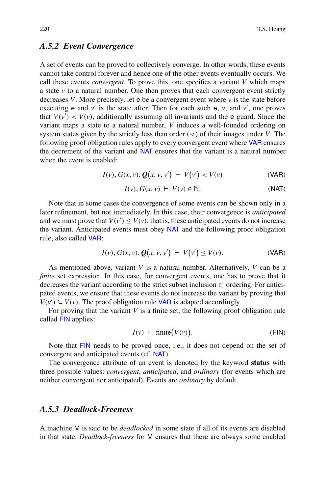### <span id="page-9-0"></span>*A.5.2 Event Convergence*

A set of events can be proved to collectively converge. In other words, these events cannot take control forever and hence one of the other events eventually occurs. We call these events *convergent*. To prove this, one specifies a variant *V* which maps a state  $\nu$  to a natural number. One then proves that each convergent event strictly decreases *V*. More precisely, let e be a convergent event where *v* is the state before executing e and  $v'$  is the state after. Then for each such e,  $v$ , and  $v'$ , one proves that  $V(v') < V(v)$ , additionally assuming all invariants and the e guard. Since the variant maps a state to a natural number, *V* induces a well-founded ordering on system states given by the strictly less than order (*<*) of their images under *V*. The following proof obligation rules apply to every convergent event where [VAR](#page-9-1) ensures the decrement of the variant and [NAT](#page-9-2) ensures that the variant is a natural number when the event is enabled:

$$
I(v), G(x, v), Q(x, v, v') \vdash V(v') < V(v) \tag{VAR}
$$

<span id="page-9-3"></span><span id="page-9-2"></span><span id="page-9-1"></span>
$$
I(v), G(x, v) \vdash V(v) \in \mathbb{N}.
$$
 (NAT)

Note that in some cases the convergence of some events can be shown only in a later refinement, but not immediately. In this case, their convergence is *anticipated* and we must prove that  $V(v') \leq V(v)$ , that is, these anticipated events do not increase the variant. Anticipated events must obey [NAT](#page-9-2) and the following proof obligation rule, also called [VAR](#page-9-3):

$$
I(v), G(x, v), Q(x, v, v') \vdash V(v') \le V(v).
$$
 (VAR)

As mentioned above, variant *V* is a natural number. Alternatively, *V* can be a *finite* set expression. In this case, for convergent events, one has to prove that it decreases the variant according to the strict subset inclusion ⊂ ordering. For anticipated events, we ensure that these events do not increase the variant by proving that  $V(v') \subseteq V(v)$ . The proof obligation rule [VAR](#page-9-1) is adapted accordingly.

For proving that the variant *V* is a finite set, the following proof obligation rule called [FIN](#page-9-4) applies:

<span id="page-9-4"></span>
$$
I(v) \vdash \text{finite}(V(v)). \tag{FIN}
$$

Note that [FIN](#page-9-4) needs to be proved once, i.e., it does not depend on the set of convergent and anticipated events (cf. [NAT](#page-9-2)).

The convergence attribute of an event is denoted by the keyword **status** with three possible values: *convergent*, *anticipated*, and *ordinary* (for events which are neither convergent nor anticipated). Events are *ordinary* by default.

# *A.5.3 Deadlock-Freeness*

A machine M is said to be *deadlocked* in some state if all of its events are disabled in that state. *Deadlock-freeness* for M ensures that there are always some enabled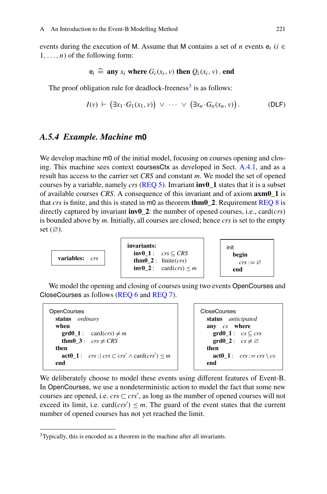events during the execution of M. Assume that M contains a set of *n* events  $e_i$  (*i* ∈  $1, \ldots, n$  of the following form:

$$
e_i \triangleq
$$
 any  $x_i$  where  $G_i(x_i, v)$  then  $Q_i(x_i, v)$ . end

The proof obligation rule for deadlock-freeness<sup>[3](#page-10-0)</sup> is as follows:

$$
I(v) \vdash (\exists x_1 \cdot G_1(x_1, v)) \vee \cdots \vee (\exists x_n \cdot G_n(x_n, v)).
$$
 (DLF)

### *A.5.4 Example. Machine* **m0**

We develop machine m0 of the initial model, focusing on courses opening and closing. This machine sees context coursesCtx as developed in Sect. [A.4.1](#page-5-1), and as a result has access to the carrier set *CRS* and constant *m*. We model the set of opened courses by a variable, namely *crs* [\(REQ 5\)](#page-3-2). Invariant **inv0**\_**1** states that it is a subset of available courses *CRS*. A consequence of this invariant and of axiom **axm0**\_**1** is that *crs* is finite, and this is stated in m0 as theorem **thm0**\_**2**. Requirement [REQ 8](#page-4-2) is directly captured by invariant **inv0**\_**2**: the number of opened courses, i.e., card*(crs)* is bounded above by *m*. Initially, all courses are closed; hence *crs* is set to the empty set  $(\emptyset)$ .



We model the opening and closing of courses using two events OpenCourses and CloseCourses as follows ([REQ 6](#page-4-3) and [REQ 7](#page-4-4)).

| <b>OpenCourses</b><br>status ordinary<br>when                                                               |
|-------------------------------------------------------------------------------------------------------------|
| <b>grd0</b> _1: card $(crs) \neq m$                                                                         |
| thm0_3: $crs \neq CRS$<br>then                                                                              |
| $\textbf{act0}\_1: \quad \text{crs}:  \text{crs} \subset \text{crs}' \land \text{card}(\text{crs}') \leq m$ |
| and                                                                                                         |

| <b>CloseCourses</b><br>status <i>anticipated</i> |  |  |
|--------------------------------------------------|--|--|
| any cs where                                     |  |  |
| <b>grd<math>0</math></b> 1: $cs \subseteq crs$   |  |  |
| <b>grd0</b> 2: $cs \neq \emptyset$               |  |  |
| then                                             |  |  |
| act0 1: $crs := crs \, \backslash \, cs$         |  |  |
| end                                              |  |  |

<span id="page-10-0"></span>We deliberately choose to model these events using different features of Event-B. In OpenCourses, we use a nondeterministic action to model the fact that some new courses are opened, i.e.  $crs \subset crs'$ , as long as the number of opened courses will not exceed its limit, i.e. card $(crs') \leq m$ . The guard of the event states that the current number of opened courses has not yet reached the limit.

 $3$ Typically, this is encoded as a theorem in the machine after all invariants.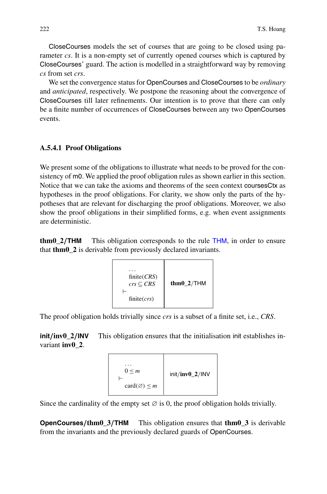CloseCourses models the set of courses that are going to be closed using parameter *cs*. It is a non-empty set of currently opened courses which is captured by CloseCourses' guard. The action is modelled in a straightforward way by removing *cs* from set *crs*.

We set the convergence status for OpenCourses and CloseCourses to be *ordinary* and *anticipated*, respectively. We postpone the reasoning about the convergence of CloseCourses till later refinements. Our intention is to prove that there can only be a finite number of occurrences of CloseCourses between any two OpenCourses events.

### **A.5.4.1 Proof Obligations**

We present some of the obligations to illustrate what needs to be proved for the consistency of m0. We applied the proof obligation rules as shown earlier in this section. Notice that we can take the axioms and theorems of the seen context coursesCtx as hypotheses in the proof obligations. For clarity, we show only the parts of the hypotheses that are relevant for discharging the proof obligations. Moreover, we also show the proof obligations in their simplified forms, e.g. when event assignments are deterministic.

**thm0\_2***/***THM** This obligation corresponds to the rule [THM](#page-6-1), in order to ensure that **thm0**\_**2** is derivable from previously declared invariants.

The proof obligation holds trivially since *crs* is a subset of a finite set, i.e., *CRS*.

**init***/***inv0\_2***/***INV** This obligation ensures that the initialisation init establishes invariant **inv0**\_**2**.

| $0 \leq m$               | init/inv0_2/INV |
|--------------------------|-----------------|
| $card(\emptyset) \leq m$ |                 |

Since the cardinality of the empty set  $\varnothing$  is 0, the proof obligation holds trivially.

**OpenCourses***/***thm0\_3***/***THM** This obligation ensures that **thm0**\_**3** is derivable from the invariants and the previously declared guards of OpenCourses.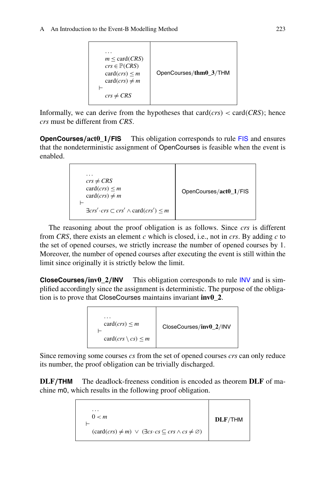

Informally, we can derive from the hypotheses that  $card(crs) < card(CRS)$ ; hence *crs* must be different from *CRS*.

**OpenCourses***/***act0\_1***/***FIS** This obligation corresponds to rule [FIS](#page-8-0) and ensures that the nondeterministic assignment of OpenCourses is feasible when the event is enabled.



The reasoning about the proof obligation is as follows. Since *crs* is different from *CRS*, there exists an element *c* which is closed, i.e., not in *crs*. By adding *c* to the set of opened courses, we strictly increase the number of opened courses by 1. Moreover, the number of opened courses after executing the event is still within the limit since originally it is strictly below the limit.

**CloseCourses***/***inv0\_2***/***INV** This obligation corresponds to rule [INV](#page-8-1) and is simplified accordingly since the assignment is deterministic. The purpose of the obligation is to prove that CloseCourses maintains invariant **inv0**\_**2**.

| $card(crs) \leq m$<br>$card(crs \setminus cs) \leq m$ | CloseCourses/inv0_2/INV |
|-------------------------------------------------------|-------------------------|
|-------------------------------------------------------|-------------------------|

Since removing some courses *cs* from the set of opened courses *crs* can only reduce its number, the proof obligation can be trivially discharged.

**DLF***/***THM** The deadlock-freeness condition is encoded as theorem **DLF** of machine m0, which results in the following proof obligation.

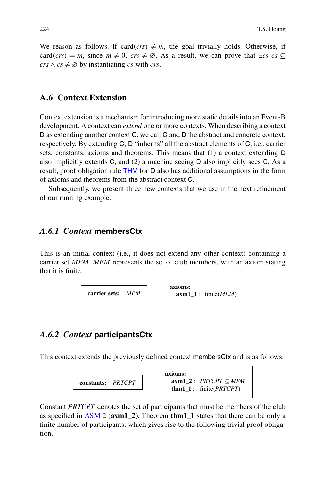<span id="page-13-0"></span>We reason as follows. If card $(crs) \neq m$ , the goal trivially holds. Otherwise, if card(*crs*) = *m*, since  $m \neq 0$ , *crs*  $\neq \emptyset$ . As a result, we can prove that  $\exists cs \cdot cs \subseteq$  $\text{c} \text{r} \text{s} \wedge \text{c} \text{s} \neq \varnothing$  by instantiating *cs* with *crs*.

### **A.6 Context Extension**

Context extension is a mechanism for introducing more static details into an Event-B development. A context can *extend* one or more contexts. When describing a context D as extending another context C, we call C and D the abstract and concrete context, respectively. By extending C, D "inherits" all the abstract elements of C, i.e., carrier sets, constants, axioms and theorems. This means that (1) a context extending D also implicitly extends C, and (2) a machine seeing D also implicitly sees C. As a result, proof obligation rule [THM](#page-5-0) for D also has additional assumptions in the form of axioms and theorems from the abstract context C.

Subsequently, we present three new contexts that we use in the next refinement of our running example.

### *A.6.1 Context* **membersCtx**

This is an initial context (i.e., it does not extend any other context) containing a carrier set *MEM*. *MEM* represents the set of club members, with an axiom stating that it is finite.

**carrier sets:** *MEM*



### *A.6.2 Context* **participantsCtx**

This context extends the previously defined context membersCtx and is as follows.



Constant *PRTCPT* denotes the set of participants that must be members of the club as specified in [ASM 2](#page-3-3) (**axm1**\_**2**). Theorem **thm1**\_**1** states that there can be only a finite number of participants, which gives rise to the following trivial proof obligation.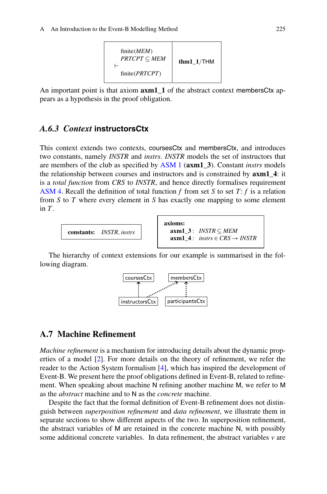$$
PRTCPT \subseteq MEM
$$
  
+  
finite(PRTCPT)  

An important point is that axiom **axm1**\_**1** of the abstract context membersCtx appears as a hypothesis in the proof obligation.

## *A.6.3 Context* **instructorsCtx**

This context extends two contexts, coursesCtx and membersCtx, and introduces two constants, namely *INSTR* and *instrs*. *INSTR* models the set of instructors that are members of the club as specified by [ASM 1](#page-3-4) (**axm1**\_**3**). Constant *instrs* models the relationship between courses and instructors and is constrained by **axm1**\_**4**: it is a *total function* from *CRS* to *INSTR*, and hence directly formalises requirement [ASM 4.](#page-3-5) Recall the definition of total function *f* from set *S* to set *T*: *f* is a relation from *S* to *T* where every element in *S* has exactly one mapping to some element in *T*.



<span id="page-14-0"></span>The hierarchy of context extensions for our example is summarised in the following diagram.



# **A.7 Machine Refinement**

*Machine refinement* is a mechanism for introducing details about the dynamic properties of a model [[2\]](#page-25-0). For more details on the theory of refinement, we refer the reader to the Action System formalism [\[4](#page-25-2)], which has inspired the development of Event-B. We present here the proof obligations defined in Event-B, related to refinement. When speaking about machine N refining another machine M, we refer to M as the *abstract* machine and to N as the *concrete* machine.

Despite the fact that the formal definition of Event-B refinement does not distinguish between *superposition refinement* and *data refinement*, we illustrate them in separate sections to show different aspects of the two. In superposition refinement, the abstract variables of M are retained in the concrete machine N, with possibly some additional concrete variables. In data refinement, the abstract variables *v* are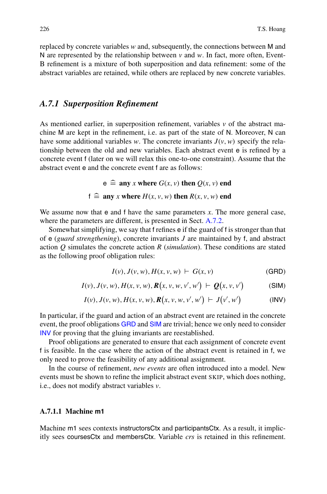replaced by concrete variables *w* and, subsequently, the connections between M and N are represented by the relationship between *v* and *w*. In fact, more often, Event-B refinement is a mixture of both superposition and data refinement: some of the abstract variables are retained, while others are replaced by new concrete variables.

### *A.7.1 Superposition Refinement*

As mentioned earlier, in superposition refinement, variables *v* of the abstract machine M are kept in the refinement, i.e. as part of the state of N. Moreover, N can have some additional variables *w*. The concrete invariants  $J(\nu, \nu)$  specify the relationship between the old and new variables. Each abstract event e is refined by a concrete event f (later on we will relax this one-to-one constraint). Assume that the abstract event e and the concrete event f are as follows:

> $e \nightharpoonup$  **any** *x* where  $G(x, v)$  then  $Q(x, v)$  end  $f \nightharpoonup$  **any** *x* where  $H(x, v, w)$  then  $R(x, v, w)$  end

We assume now that e and f have the same parameters *x*. The more general case, where the parameters are different, is presented in Sect. [A.7.2.](#page-18-0)

Somewhat simplifying, we say that f refines e if the guard of f is stronger than that of e (*guard strengthening*), concrete invariants *J* are maintained by f, and abstract action *Q* simulates the concrete action *R* (*simulation*). These conditions are stated as the following proof obligation rules:

<span id="page-15-2"></span><span id="page-15-1"></span><span id="page-15-0"></span>
$$
I(v), J(v, w), H(x, v, w) \vdash G(x, v) \tag{GRD}
$$

$$
I(v), J(v, w), H(x, v, w), R(x, v, w, v', w') \vdash Q(x, v, v')
$$
 (SIM)

$$
I(v), J(v, w), H(x, v, w), \mathbf{R}(x, v, w, v', w') \vdash J(v', w')
$$
 (INV)

In particular, if the guard and action of an abstract event are retained in the concrete event, the proof obligations [GRD](#page-15-0) and [SIM](#page-15-1) are trivial; hence we only need to consider [INV](#page-15-2) for proving that the gluing invariants are reestablished.

Proof obligations are generated to ensure that each assignment of concrete event f is feasible. In the case where the action of the abstract event is retained in f, we only need to prove the feasibility of any additional assignment.

In the course of refinement, *new events* are often introduced into a model. New events must be shown to refine the implicit abstract event SKIP, which does nothing, i.e., does not modify abstract variables *v*.

### **A.7.1.1 Machine m1**

Machine m1 sees contexts instructorsCtx and participantsCtx. As a result, it implicitly sees coursesCtx and membersCtx. Variable *crs* is retained in this refinement.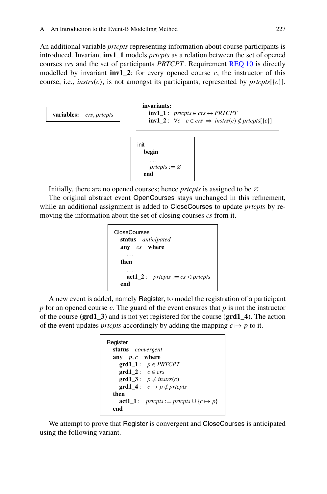An additional variable *prtcpts* representing information about course participants is introduced. Invariant **inv1**\_**1** models *prtcpts* as a relation between the set of opened courses *crs* and the set of participants *PRTCPT*. Requirement [REQ 10](#page-4-5) is directly modelled by invariant **inv1** 2: for every opened course  $c$ , the instructor of this course, i.e., *instrs*(*c*), is not amongst its participants, represented by *prtcpts*[ $\{c\}$ ].

**variables:** *crs, prtcpts*

```
invariants:
  inv1_1 : prtcpts \in crs \leftrightarrow PRTCPT
  inv1_2 : ∀c · c ∈ crs \Rightarrow instrs(c) \notin prtcpts[{c}]
```

```
init
 begin
   ...
   prtcpts := ∅
 end
```
Initially, there are no opened courses; hence *prtcpts* is assigned to be ∅.

The original abstract event OpenCourses stays unchanged in this refinement, while an additional assignment is added to CloseCourses to update *prtcpts* by removing the information about the set of closing courses *cs* from it.

```
CloseCourses
  status anticipated
  any cs where
      ...
  then
      ...
      \textbf{act1}\_2 : \textit{prtcrts} := \textit{cs} \triangleleft \textit{prtcrts}end
```
A new event is added, namely Register, to model the registration of a participant *p* for an opened course *c*. The guard of the event ensures that *p* is not the instructor of the course (**grd1**\_**3**) and is not yet registered for the course (**grd1**\_**4**). The action of the event updates *prtcpts* accordingly by adding the mapping  $c \mapsto p$  to it.

```
Register
 status convergent
 any p, c where
    grd1_1 : p ∈ PRTCPT
    \textbf{grd1}\_2 : c \in \textit{crs}\text{grad1}\_3: p \neq \text{instrs}(c)grd1_4 : c \mapsto p \notin \text{prept}then
    act1_1 : prtcpts := prtcpts ∪ {c \mapsto p}
 end
```
We attempt to prove that Register is convergent and CloseCourses is anticipated using the following variant.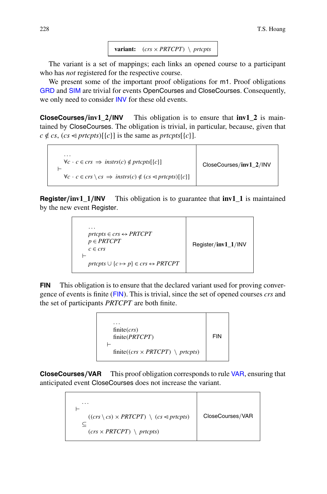$$
variant: (crs \times PRTCPT) \setminus prtcepts
$$

The variant is a set of mappings; each links an opened course to a participant who has *not* registered for the respective course.

We present some of the important proof obligations for m1. Proof obligations [GRD](#page-15-0) and [SIM](#page-15-1) are trivial for events OpenCourses and CloseCourses. Consequently, we only need to consider [INV](#page-15-2) for these old events.

**CloseCourses***/***inv1\_2***/***INV** This obligation is to ensure that **inv1**\_**2** is maintained by CloseCourses. The obligation is trivial, in particular, because, given that  $c \notin cs$ ,  $(cs \triangleleft \frac{\text{prt}c}{c}\}$  [{*c*}] is the same as  $\frac{\text{prt}c}{c}\$ [{*c*}].

*...*  $∀c \cdot c ∈ crs ⇒ instrs(c) ∉ prtcrts[{c}]$  $\vdash$  $\forall c \cdot c \in \text{crs} \setminus \text{cs} \implies \text{instrs}(c) \notin (\text{cs} \triangleleft \text{prtCpts})[\{c\}]$ CloseCourses*/***inv1**\_**2***/*INV

**Register***/***inv1\_1***/***INV** This obligation is to guarantee that **inv1**\_**1** is maintained by the new event Register.

| .<br>$prepts \in crs \leftrightarrow PRTCPT$<br>$p \in PRTCPT$<br>$c \in crs$<br>$prepts \cup \{c \mapsto p\} \in crs \leftrightarrow PRTCPT$ | Register/inv1_1/INV |
|-----------------------------------------------------------------------------------------------------------------------------------------------|---------------------|
|-----------------------------------------------------------------------------------------------------------------------------------------------|---------------------|

**FIN** This obligation is to ensure that the declared variant used for proving convergence of events is finite ([FIN](#page-9-4)). This is trivial, since the set of opened courses *crs* and the set of participants *PRTCPT* are both finite.



**CloseCourses***/***VAR** This proof obligation corresponds to rule [VAR](#page-9-3), ensuring that anticipated event CloseCourses does not increase the variant.

> *...*  $\vdash$  $((crs \setminus cs) × PRTCPT)$   $\setminus$   $(cs \triangleleft prtcepts)$ ⊆ *(crs* × *PRTCPT)* \ *prtcpts)* CloseCourses*/*VAR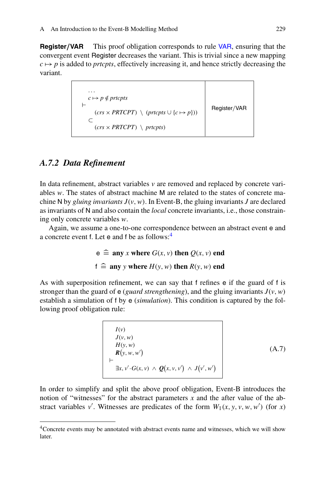**Register***/***VAR** This proof obligation corresponds to rule [VAR](#page-9-1), ensuring that the convergent event Register decreases the variant. This is trivial since a new mapping  $c \mapsto p$  is added to *prtcpts*, effectively increasing it, and hence strictly decreasing the variant.

> *...*  $c \mapsto p \notin \text{prepts}$  $\vdash$  $(crs \times PRTCPT)$  *∖*  $(prtcepts ∪ {c \mapsto p})$ ⊂ *(crs* × *PRTCPT)* \ *prtcpts)* Register*/*VAR

## <span id="page-18-0"></span>*A.7.2 Data Refinement*

In data refinement, abstract variables *v* are removed and replaced by concrete variables *w*. The states of abstract machine M are related to the states of concrete machine N by *gluing invariants*  $J(v, w)$ . In Event-B, the gluing invariants *J* are declared as invariants of N and also contain the *local* concrete invariants, i.e., those constraining only concrete variables *w*.

Again, we assume a one-to-one correspondence between an abstract event e and a concrete event f. Let e and f be as follows:[4](#page-18-1)

> $e \nightharpoonup$  **any** *x* where  $G(x, v)$  then  $Q(x, v)$  end  $f \nightharpoonup$  **any** *y* where  $H(y, w)$  then  $R(y, w)$  end

As with superposition refinement, we can say that f refines e if the guard of f is stronger than the guard of  $e$  (*guard strengthening*), and the gluing invariants  $J(v, w)$ establish a simulation of f by e (*simulation*). This condition is captured by the following proof obligation rule:

> *I(v) J(v,w) H(y,w)*  $R(y, w, w')$  $\vdash$  $\exists x, v' \cdot G(x, v) \land \mathbf{Q}(x, v, v') \land J(v', w')$

<span id="page-18-2"></span>(A.7)

<span id="page-18-1"></span>In order to simplify and split the above proof obligation, Event-B introduces the notion of "witnesses" for the abstract parameters *x* and the after value of the abstract variables *v'*. Witnesses are predicates of the form  $W_1(x, y, v, w, w')$  (for *x*)

<sup>4</sup>Concrete events may be annotated with abstract events name and witnesses, which we will show later.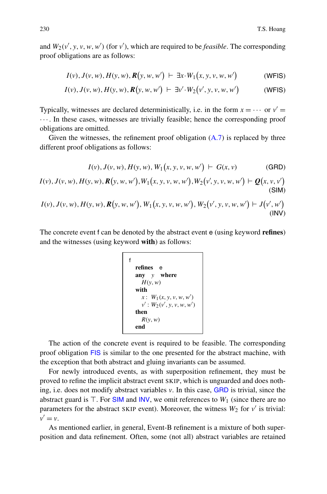and  $W_2(v', y, v, w, w')$  (for *v'*), which are required to be *feasible*. The corresponding proof obligations are as follows:

$$
I(v), J(v, w), H(y, w), R(y, w, w') \vdash \exists x \cdot W_1(x, y, v, w, w')
$$
 (WFS)

$$
I(v), J(v, w), H(y, w), \mathbf{R}(y, w, w') \vdash \exists v' \cdot W_2(v', y, v, w, w')
$$
 (WFS)

Typically, witnesses are declared deterministically, i.e. in the form  $x = \cdots$  or  $v' =$ ··· . In these cases, witnesses are trivially feasible; hence the corresponding proof obligations are omitted.

Given the witnesses, the refinement proof obligation  $(A.7)$  $(A.7)$  $(A.7)$  is replaced by three different proof obligations as follows:

<span id="page-19-2"></span><span id="page-19-1"></span><span id="page-19-0"></span>
$$
I(v), J(v, w), H(y, w), W_1(x, y, v, w, w') \vdash G(x, v)
$$
 (GRD)

 $I(v)$ ,  $J(v, w)$ ,  $H(y, w)$ ,  $\mathbf{R}(y, w, w')$ ,  $W_1(x, y, v, w, w')$ ,  $W_2(v', y, v, w, w') \vdash \mathbf{Q}(x, v, v')$ (SIM)

 $I(v)$ ,  $J(v, w)$ ,  $H(y, w)$ ,  $\mathbf{R}(y, w, w')$ ,  $W_1(x, y, v, w, w')$ ,  $W_2(v', y, v, w, w') \vdash J(v', w')$ (INV)

The concrete event f can be denoted by the abstract event e (using keyword **refines**) and the witnesses (using keyword **with**) as follows:

```
f
refines e
any y where
  H(y,w)
with
   x: W_1(x, y, v, w, w')v': W_2(v', y, v, w, w')then
   R(y,w)
end
```
The action of the concrete event is required to be feasible. The corresponding proof obligation [FIS](#page-8-0) is similar to the one presented for the abstract machine, with the exception that both abstract and gluing invariants can be assumed.

For newly introduced events, as with superposition refinement, they must be proved to refine the implicit abstract event SKIP, which is unguarded and does nothing, i.e. does not modify abstract variables *v*. In this case, [GRD](#page-19-0) is trivial, since the abstract guard is  $\top$ . For **[SIM](#page-19-1)** and **[INV](#page-19-2)**, we omit references to  $W_1$  (since there are no parameters for the abstract SKIP event). Moreover, the witness  $W_2$  for  $v'$  is trivial:  $v' = v$ .

As mentioned earlier, in general, Event-B refinement is a mixture of both superposition and data refinement. Often, some (not all) abstract variables are retained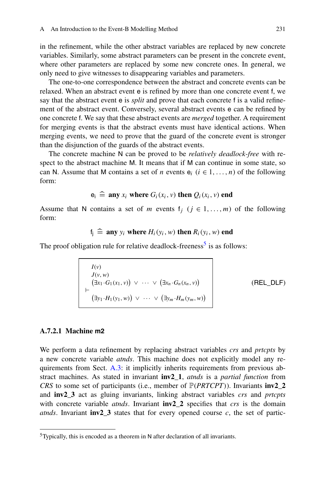in the refinement, while the other abstract variables are replaced by new concrete variables. Similarly, some abstract parameters can be present in the concrete event, where other parameters are replaced by some new concrete ones. In general, we only need to give witnesses to disappearing variables and parameters.

The one-to-one correspondence between the abstract and concrete events can be relaxed. When an abstract event e is refined by more than one concrete event f, we say that the abstract event e is *split* and prove that each concrete f is a valid refinement of the abstract event. Conversely, several abstract events e can be refined by one concrete f. We say that these abstract events are *merged* together. A requirement for merging events is that the abstract events must have identical actions. When merging events, we need to prove that the guard of the concrete event is stronger than the disjunction of the guards of the abstract events.

The concrete machine N can be proved to be *relatively deadlock-free* with respect to the abstract machine M. It means that if M can continue in some state, so can N. Assume that M contains a set of *n* events  $e_i$  ( $i \in 1, \ldots, n$ ) of the following form:

 $e_i \nightharpoonup a$  **any**  $x_i$  where  $G_i(x_i, v)$  then  $Q_i(x_i, v)$  end

Assume that N contains a set of *m* events  $f_j$  ( $j \in 1, \ldots, m$ ) of the following form:

```
f_j \nightharpoonup any y_i where H_i(y_i, w) then R_i(y_i, w) end
```
The proof obligation rule for relative deadlock-freeness<sup>[5](#page-20-0)</sup> is as follows:

*I(v) J(v,w)*  $\left(\exists x_1 \cdot G_1(x_1, v)\right) \vee \cdots \vee \left(\exists x_n \cdot G_n(x_n, v)\right)$  $\vdash$  $\left(\exists y_1 \cdot H_1(y_1, w)\right) \vee \cdots \vee \left(\exists y_m \cdot H_m(y_m, w)\right)$ (REL\_DLF)

### **A.7.2.1 Machine m2**

<span id="page-20-0"></span>We perform a data refinement by replacing abstract variables *crs* and *prtcpts* by a new concrete variable *atnds*. This machine does not explicitly model any requirements from Sect. [A.3](#page-3-0): it implicitly inherits requirements from previous abstract machines. As stated in invariant **inv2**\_**1**, *atnds* is a *partial function* from *CRS* to some set of participants (i.e., member of P*(PRTCPT)*). Invariants **inv2**\_**2** and **inv2**\_**3** act as gluing invariants, linking abstract variables *crs* and *prtcpts* with concrete variable *atnds*. Invariant **inv2**\_**2** specifies that *crs* is the domain *atnds*. Invariant  $\mathbf{inv2} = 3$  states that for every opened course *c*, the set of partic-

<sup>5</sup>Typically, this is encoded as a theorem in N after declaration of all invariants.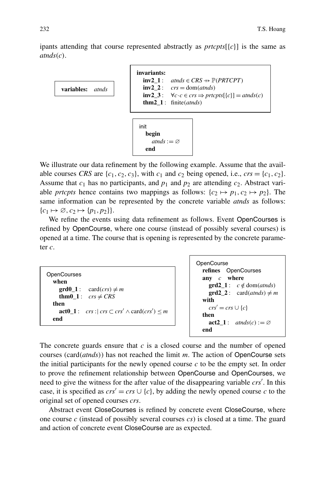ipants attending that course represented abstractly as *prtcpts*[{*c*}] is the same as  $atnds(c)$ .



We illustrate our data refinement by the following example. Assume that the available courses *CRS* are  $\{c_1, c_2, c_3\}$ , with  $c_1$  and  $c_2$  being opened, i.e.,  $\{crs = \{c_1, c_2\}$ . Assume that  $c_1$  has no participants, and  $p_1$  and  $p_2$  are attending  $c_2$ . Abstract variable *prtcpts* hence contains two mappings as follows:  $\{c_2 \mapsto p_1, c_2 \mapsto p_2\}$ . The same information can be represented by the concrete variable *atnds* as follows:  ${c_1 \mapsto \emptyset, c_2 \mapsto \{p_1, p_2\}}.$ 

We refine the events using data refinement as follows. Event OpenCourses is refined by OpenCourse, where one course (instead of possibly several courses) is opened at a time. The course that is opening is represented by the concrete parameter *c*.

```
OpenCourses
  when
      \text{grad} \cdot \mathbf{1} : card(crs) \neq mthm0_1 : crs \neq CRSthen
      act0_1 : crs : | \text{crs} \subset \text{crs'} \land \text{card}(\text{crs'}) \leq mend
```

```
OpenCourse
  refines OpenCourses
  any c where
     \text{grad}2_{1}: c \notin \text{dom}(\text{atnds})\text{grad2}_2 : card(atnds) \neq mwith
     \text{c}rs' = \text{c}rs \cup {c}
  then
     \textbf{act2\_1} : \textit{atnds}(c) := \emptysetend
```
The concrete guards ensure that *c* is a closed course and the number of opened courses (card*(atnds)*) has not reached the limit *m*. The action of OpenCourse sets the initial participants for the newly opened course *c* to be the empty set. In order to prove the refinement relationship between OpenCourse and OpenCourses, we need to give the witness for the after value of the disappearing variable *crs* . In this case, it is specified as  $crs' = crs \cup \{c\}$ , by adding the newly opened course *c* to the original set of opened courses *crs*.

Abstract event CloseCourses is refined by concrete event CloseCourse, where one course *c* (instead of possibly several courses *cs*) is closed at a time. The guard and action of concrete event CloseCourse are as expected.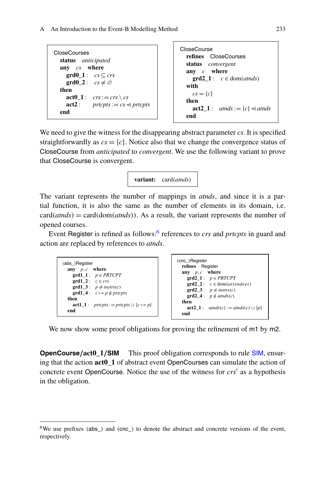```
CloseCourses
  status anticipated
  any cs where
     \text{grad0}_1 : cs \subseteq crsgrd0_2 : cs \neq \emptysetthen
     act0 1: crs := crs \setminus cs\textbf{act2}: \quad \textit{prepts} := \textit{cs} \triangleleft \textit{prepts}end
```

```
CloseCourse
  refines CloseCourses
 status convergent
 any c where
    \text{grad2}_1 : c \in \text{dom}(atnds)with
    cs = \{c\}then
     \textbf{act2\_1} : atnds := \{c\} \triangleleft atndsend
```
We need to give the witness for the disappearing abstract parameter *cs*. It is specified straightforwardly as  $cs = \{c\}$ . Notice also that we change the convergence status of CloseCourse from *anticipated* to *convergent*. We use the following variant to prove that CloseCourse is convergent.



The variant represents the number of mappings in *atnds*, and since it is a partial function, it is also the same as the number of elements in its domain, i.e.  $card( \text{at } s) = \text{card}( \text{dom}( \text{at } s) )$ . As a result, the variant represents the number of opened courses.

Event Register is refined as follows:<sup>[6](#page-22-0)</sup> references to *crs* and *prtcpts* in guard and action are replaced by references to *atnds*.

```
(abs_)Register
 any p, c where
   grd1_1 : p ∈ PRTCPT
   \text{grd1}\_2 : c \in \text{crs}grd1_3 : p \neq \text{instrs}(c)grd1_4 : c \mapsto p \notin \text{prepts}then
    act1_1 : prtcpts := prtcpts ∪ {c \mapsto p}
 end
```

```
(cnc_)Register
 refines Register
 any p, c where
   grd2_1 : p ∈ PRTCPT
  grd2_2 : c ∈ dom(attendees)
  grd2_3 : p \neq instrs(c)
   grd2_4 : p \notin \text{atnds}(c)then
   act2_1 : atnds(c) := atnds(c) ∪ {p}
 end
```
We now show some proof obligations for proving the refinement of m1 by m2.

<span id="page-22-0"></span>**OpenCourse***/***act0\_1***/***SIM** This proof obligation corresponds to rule [SIM](#page-19-1), ensuring that the action **act0**\_**1** of abstract event OpenCourses can simulate the action of concrete event OpenCourse. Notice the use of the witness for *crs'* as a hypothesis in the obligation.

<sup>6</sup>We use prefixes *(*abs\_*)* and *(*cnc\_*)* to denote the abstract and concrete versions of the event, respectively.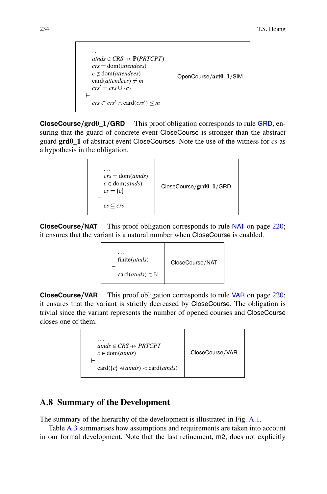```
...
 atnds \in CRS \rightarrow \mathbb{P}(PRTCPT)crs = dom(attendees)
 c \notin \text{dom}(attendees)card(attendees) \neq mcrs' = crs \cup \{c\}\vdashcrs \subset crs' \land \text{card}(crs') \leq mOpenCourse/act0_1/SIM
```
**CloseCourse***/***grd0\_1***/***GRD** This proof obligation corresponds to rule [GRD](#page-19-0), ensuring that the guard of concrete event CloseCourse is stronger than the abstract guard **grd0**\_**1** of abstract event CloseCourses. Note the use of the witness for *cs* as a hypothesis in the obligation.

| $crs = dom(atnds)$<br>$c \in \text{dom}(atnds)$<br>$cs = \{c\}$<br>$cs \subset crs$ | CloseCourse/grd0_1/GRD |
|-------------------------------------------------------------------------------------|------------------------|
|-------------------------------------------------------------------------------------|------------------------|

**CloseCourse***/***NAT** This proof obligation corresponds to rule [NAT](#page-9-2) on page [220;](#page-9-2) it ensures that the variant is a natural number when CloseCourse is enabled.

| finite(atnds)                | CloseCourse/NAT |
|------------------------------|-----------------|
| $card(atnds) \in \mathbb{N}$ |                 |

**CloseCourse***/***VAR** This proof obligation corresponds to rule [VAR](#page-9-1) on page [220;](#page-9-1) it ensures that the variant is strictly decreased by CloseCourse. The obligation is trivial since the variant represents the number of opened courses and CloseCourse closes one of them.

| $atnds \in CRS \rightarrow PRTCPT$<br>CloseCourse/VAR<br>$c \in \text{dom}(atnds)$<br>$card({c} \triangleleft atnds) < card(atnds)$ |
|-------------------------------------------------------------------------------------------------------------------------------------|
|-------------------------------------------------------------------------------------------------------------------------------------|

# **A.8 Summary of the Development**

The summary of the hierarchy of the development is illustrated in Fig. [A.1.](#page-24-0)

Table [A.3](#page-24-1) summarises how assumptions and requirements are taken into account in our formal development. Note that the last refinement, m2, does not explicitly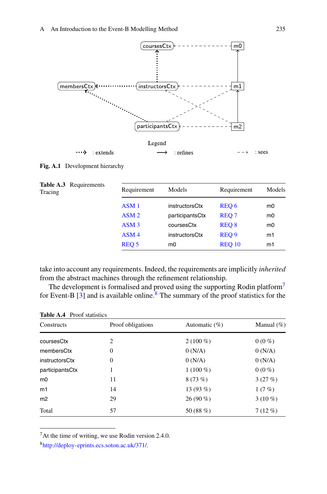

<span id="page-24-1"></span><span id="page-24-0"></span>**Fig. A.1** Development hierarchy

| Tracing | <b>Table A.3</b> Requirements | Requirement      | Models          | Requirement      | Models         |
|---------|-------------------------------|------------------|-----------------|------------------|----------------|
|         |                               | ASM1             | instructorsCtx  | REO 6            | m0             |
|         |                               | ASM <sub>2</sub> | participantsCtx | REO <sub>7</sub> | m <sub>0</sub> |
|         |                               | ASM <sub>3</sub> | coursesCtx      | <b>REO 8</b>     | m <sub>0</sub> |
|         |                               | ASM <sub>4</sub> | instructorsCtx  | REO <sub>9</sub> | m1             |
|         |                               | REO <sub>5</sub> | m0              | <b>REO 10</b>    | m1             |

<span id="page-24-4"></span>take into account any requirements. Indeed, the requirements are implicitly *inherited* from the abstract machines through the refinement relationship.

The development is formalised and proved using the supporting Rodin platform<sup>[7](#page-24-2)</sup> for Event-B  $\left[3\right]$  and is available online.<sup>[8](#page-24-3)</sup> The summary of the proof statistics for the

<span id="page-24-2"></span>

| <b>Table A.4</b> Proof statistics<br>Constructs | Proof obligations | Automatic $(\%)$ | Manual $(\%)$ |
|-------------------------------------------------|-------------------|------------------|---------------|
| coursesCtx                                      | 2                 | $2(100\%)$       | $0(0\%)$      |
| membersCtx                                      | $\mathbf{0}$      | 0(N/A)           | 0(N/A)        |
| instructorsCtx                                  | $\Omega$          | 0(N/A)           | 0(N/A)        |
| participantsCtx                                 |                   | $1(100\%)$       | $0(0\%)$      |
| m <sub>0</sub>                                  | 11                | 8(73%)           | 3(27%)        |
| m1                                              | 14                | 13 $(93\%)$      | 1(7%)         |
| m2                                              | 29                | $26(90\%)$       | $3(10\%)$     |
| Total                                           | 57                | 50 (88 %)        | $7(12\%)$     |

**Table A.4** Proof statistics

<span id="page-24-3"></span>7At the time of writing, we use Rodin version 2.4.0.

8<http://deploy-eprints.ecs.soton.ac.uk/371/>.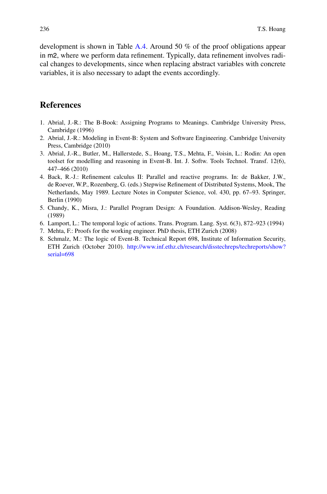<span id="page-25-1"></span><span id="page-25-0"></span>development is shown in Table [A.4.](#page-24-4) Around 50 % of the proof obligations appear in m2, where we perform data refinement. Typically, data refinement involves radical changes to developments, since when replacing abstract variables with concrete variables, it is also necessary to adapt the events accordingly.

### <span id="page-25-7"></span><span id="page-25-2"></span>**References**

- 1. Abrial, J.-R.: The B-Book: Assigning Programs to Meanings. Cambridge University Press, Cambridge (1996)
- <span id="page-25-4"></span>2. Abrial, J.-R.: Modeling in Event-B: System and Software Engineering. Cambridge University Press, Cambridge (2010)
- <span id="page-25-6"></span><span id="page-25-5"></span><span id="page-25-3"></span>3. Abrial, J.-R., Butler, M., Hallerstede, S., Hoang, T.S., Mehta, F., Voisin, L.: Rodin: An open toolset for modelling and reasoning in Event-B. Int. J. Softw. Tools Technol. Transf. 12(6), 447–466 (2010)
- 4. Back, R.-J.: Refinement calculus II: Parallel and reactive programs. In: de Bakker, J.W., de Roever, W.P., Rozenberg, G. (eds.) Stepwise Refinement of Distributed Systems, Mook, The Netherlands, May 1989. Lecture Notes in Computer Science, vol. 430, pp. 67–93. Springer, Berlin (1990)
- 5. Chandy, K., Misra, J.: Parallel Program Design: A Foundation. Addison-Wesley, Reading (1989)
- 6. Lamport, L.: The temporal logic of actions. Trans. Program. Lang. Syst. 6(3), 872–923 (1994)
- 7. Mehta, F.: Proofs for the working engineer. PhD thesis, ETH Zurich (2008)
- 8. Schmalz, M.: The logic of Event-B. Technical Report 698, Institute of Information Security, ETH Zurich (October 2010). [http://www.inf.ethz.ch/research/disstechreps/techreports/show?](http://www.inf.ethz.ch/research/disstechreps/techreports/show?serial=698) [serial=698](http://www.inf.ethz.ch/research/disstechreps/techreports/show?serial=698)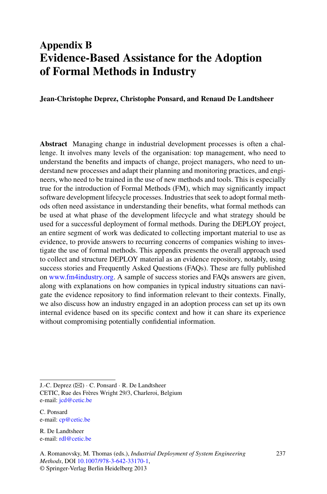# **Appendix B Evidence-Based Assistance for the Adoption of Formal Methods in Industry**

**Jean-Christophe Deprez, Christophe Ponsard, and Renaud De Landtsheer**

**Abstract** Managing change in industrial development processes is often a challenge. It involves many levels of the organisation: top management, who need to understand the benefits and impacts of change, project managers, who need to understand new processes and adapt their planning and monitoring practices, and engineers, who need to be trained in the use of new methods and tools. This is especially true for the introduction of Formal Methods (FM), which may significantly impact software development lifecycle processes. Industries that seek to adopt formal methods often need assistance in understanding their benefits, what formal methods can be used at what phase of the development lifecycle and what strategy should be used for a successful deployment of formal methods. During the DEPLOY project, an entire segment of work was dedicated to collecting important material to use as evidence, to provide answers to recurring concerns of companies wishing to investigate the use of formal methods. This appendix presents the overall approach used to collect and structure DEPLOY material as an evidence repository, notably, using success stories and Frequently Asked Questions (FAQs). These are fully published on [www.fm4industry.org](http://www.fm4industry.org). A sample of success stories and FAQs answers are given, along with explanations on how companies in typical industry situations can navigate the evidence repository to find information relevant to their contexts. Finally, we also discuss how an industry engaged in an adoption process can set up its own internal evidence based on its specific context and how it can share its experience without compromising potentially confidential information.

R. De Landtsheer e-mail: [rdl@cetic.be](mailto:rdl@cetic.be)

J.-C. Deprez (B) · C. Ponsard · R. De Landtsheer CETIC, Rue des Frères Wright 29/3, Charleroi, Belgium e-mail: [jcd@cetic.be](mailto:jcd@cetic.be)

C. Ponsard e-mail: [cp@cetic.be](mailto:cp@cetic.be)

A. Romanovsky, M. Thomas (eds.), *Industrial Deployment of System Engineering Methods*, DOI [10.1007/978-3-642-33170-1,](http://dx.doi.org/10.1007/978-3-642-33170-1) © Springer-Verlag Berlin Heidelberg 2013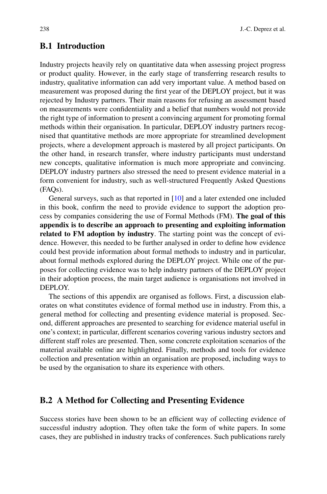### **B.1 Introduction**

Industry projects heavily rely on quantitative data when assessing project progress or product quality. However, in the early stage of transferring research results to industry, qualitative information can add very important value. A method based on measurement was proposed during the first year of the DEPLOY project, but it was rejected by Industry partners. Their main reasons for refusing an assessment based on measurements were confidentiality and a belief that numbers would not provide the right type of information to present a convincing argument for promoting formal methods within their organisation. In particular, DEPLOY industry partners recognised that quantitative methods are more appropriate for streamlined development projects, where a development approach is mastered by all project participants. On the other hand, in research transfer, where industry participants must understand new concepts, qualitative information is much more appropriate and convincing. DEPLOY industry partners also stressed the need to present evidence material in a form convenient for industry, such as well-structured Frequently Asked Questions (FAQs).

General surveys, such as that reported in [[10\]](#page-48-0) and a later extended one included in this book, confirm the need to provide evidence to support the adoption process by companies considering the use of Formal Methods (FM). **The goal of this appendix is to describe an approach to presenting and exploiting information related to FM adoption by industry**. The starting point was the concept of evidence. However, this needed to be further analysed in order to define how evidence could best provide information about formal methods to industry and in particular, about formal methods explored during the DEPLOY project. While one of the purposes for collecting evidence was to help industry partners of the DEPLOY project in their adoption process, the main target audience is organisations not involved in DEPLOY.

The sections of this appendix are organised as follows. First, a discussion elaborates on what constitutes evidence of formal method use in industry. From this, a general method for collecting and presenting evidence material is proposed. Second, different approaches are presented to searching for evidence material useful in one's context; in particular, different scenarios covering various industry sectors and different staff roles are presented. Then, some concrete exploitation scenarios of the material available online are highlighted. Finally, methods and tools for evidence collection and presentation within an organisation are proposed, including ways to be used by the organisation to share its experience with others.

### **B.2 A Method for Collecting and Presenting Evidence**

Success stories have been shown to be an efficient way of collecting evidence of successful industry adoption. They often take the form of white papers. In some cases, they are published in industry tracks of conferences. Such publications rarely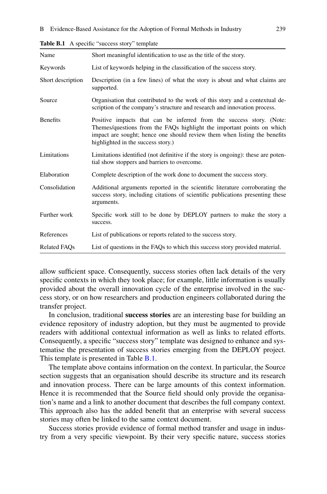<span id="page-28-0"></span>

|  | <b>Table B.1</b> A specific "success story" template |  |  |  |
|--|------------------------------------------------------|--|--|--|
|--|------------------------------------------------------|--|--|--|

| Name                | Short meaningful identification to use as the title of the story.                                                                                                                                                                                                 |  |
|---------------------|-------------------------------------------------------------------------------------------------------------------------------------------------------------------------------------------------------------------------------------------------------------------|--|
| Keywords            | List of keywords helping in the classification of the success story.                                                                                                                                                                                              |  |
| Short description   | Description (in a few lines) of what the story is about and what claims are<br>supported.                                                                                                                                                                         |  |
| Source              | Organisation that contributed to the work of this story and a contextual de-<br>scription of the company's structure and research and innovation process.                                                                                                         |  |
| <b>Benefits</b>     | Positive impacts that can be inferred from the success story. (Note:<br>Themes/questions from the FAQs highlight the important points on which<br>impact are sought; hence one should review them when listing the benefits<br>highlighted in the success story.) |  |
| Limitations         | Limitations identified (not definitive if the story is ongoing): these are poten-<br>tial show stoppers and barriers to overcome.                                                                                                                                 |  |
| Elaboration         | Complete description of the work done to document the success story.                                                                                                                                                                                              |  |
| Consolidation       | Additional arguments reported in the scientific literature corroborating the<br>success story, including citations of scientific publications presenting these<br>arguments.                                                                                      |  |
| Further work        | Specific work still to be done by DEPLOY partners to make the story a<br>success.                                                                                                                                                                                 |  |
| References          | List of publications or reports related to the success story.                                                                                                                                                                                                     |  |
| <b>Related FAOs</b> | List of questions in the FAQs to which this success story provided material.                                                                                                                                                                                      |  |

allow sufficient space. Consequently, success stories often lack details of the very specific contexts in which they took place; for example, little information is usually provided about the overall innovation cycle of the enterprise involved in the success story, or on how researchers and production engineers collaborated during the transfer project.

In conclusion, traditional **success stories** are an interesting base for building an evidence repository of industry adoption, but they must be augmented to provide readers with additional contextual information as well as links to related efforts. Consequently, a specific "success story" template was designed to enhance and systematise the presentation of success stories emerging from the DEPLOY project. This template is presented in Table [B.1](#page-28-0).

The template above contains information on the context. In particular, the Source section suggests that an organisation should describe its structure and its research and innovation process. There can be large amounts of this context information. Hence it is recommended that the Source field should only provide the organisation's name and a link to another document that describes the full company context. This approach also has the added benefit that an enterprise with several success stories may often be linked to the same context document.

Success stories provide evidence of formal method transfer and usage in industry from a very specific viewpoint. By their very specific nature, success stories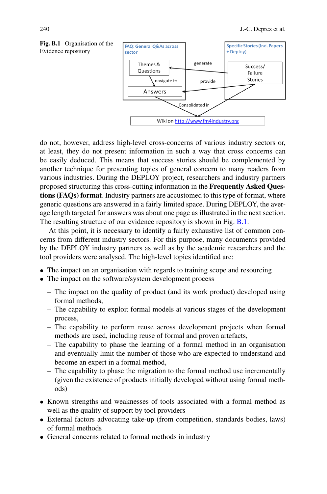

<span id="page-29-0"></span>**Fig. B.1** Organisation of the Evidence repository

do not, however, address high-level cross-concerns of various industry sectors or, at least, they do not present information in such a way that cross concerns can be easily deduced. This means that success stories should be complemented by another technique for presenting topics of general concern to many readers from various industries. During the DEPLOY project, researchers and industry partners proposed structuring this cross-cutting information in the **Frequently Asked Questions (FAQs) format**. Industry partners are accustomed to this type of format, where generic questions are answered in a fairly limited space. During DEPLOY, the average length targeted for answers was about one page as illustrated in the next section. The resulting structure of our evidence repository is shown in Fig. [B.1.](#page-29-0)

At this point, it is necessary to identify a fairly exhaustive list of common concerns from different industry sectors. For this purpose, many documents provided by the DEPLOY industry partners as well as by the academic researchers and the tool providers were analysed. The high-level topics identified are:

- The impact on an organisation with regards to training scope and resourcing
- The impact on the software/system development process
	- The impact on the quality of product (and its work product) developed using formal methods,
	- The capability to exploit formal models at various stages of the development process,
	- The capability to perform reuse across development projects when formal methods are used, including reuse of formal and proven artefacts,
	- The capability to phase the learning of a formal method in an organisation and eventually limit the number of those who are expected to understand and become an expert in a formal method,
	- The capability to phase the migration to the formal method use incrementally (given the existence of products initially developed without using formal methods)
- Known strengths and weaknesses of tools associated with a formal method as well as the quality of support by tool providers
- External factors advocating take-up (from competition, standards bodies, laws) of formal methods
- General concerns related to formal methods in industry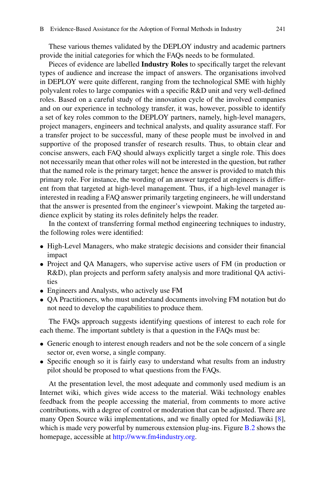These various themes validated by the DEPLOY industry and academic partners provide the initial categories for which the FAQs needs to be formulated.

Pieces of evidence are labelled **Industry Roles** to specifically target the relevant types of audience and increase the impact of answers. The organisations involved in DEPLOY were quite different, ranging from the technological SME with highly polyvalent roles to large companies with a specific R&D unit and very well-defined roles. Based on a careful study of the innovation cycle of the involved companies and on our experience in technology transfer, it was, however, possible to identify a set of key roles common to the DEPLOY partners, namely, high-level managers, project managers, engineers and technical analysts, and quality assurance staff. For a transfer project to be successful, many of these people must be involved in and supportive of the proposed transfer of research results. Thus, to obtain clear and concise answers, each FAQ should always explicitly target a single role. This does not necessarily mean that other roles will not be interested in the question, but rather that the named role is the primary target; hence the answer is provided to match this primary role. For instance, the wording of an answer targeted at engineers is different from that targeted at high-level management. Thus, if a high-level manager is interested in reading a FAQ answer primarily targeting engineers, he will understand that the answer is presented from the engineer's viewpoint. Making the targeted audience explicit by stating its roles definitely helps the reader.

In the context of transferring formal method engineering techniques to industry, the following roles were identified:

- High-Level Managers, who make strategic decisions and consider their financial impact
- Project and QA Managers, who supervise active users of FM (in production or R&D), plan projects and perform safety analysis and more traditional QA activities
- Engineers and Analysts, who actively use FM
- QA Practitioners, who must understand documents involving FM notation but do not need to develop the capabilities to produce them.

The FAQs approach suggests identifying questions of interest to each role for each theme. The important subtlety is that a question in the FAQs must be:

- Generic enough to interest enough readers and not be the sole concern of a single sector or, even worse, a single company.
- Specific enough so it is fairly easy to understand what results from an industry pilot should be proposed to what questions from the FAQs.

At the presentation level, the most adequate and commonly used medium is an Internet wiki, which gives wide access to the material. Wiki technology enables feedback from the people accessing the material, from comments to more active contributions, with a degree of control or moderation that can be adjusted. There are many Open Source wiki implementations, and we finally opted for Mediawiki [[8\]](#page-48-1), which is made very powerful by numerous extension plug-ins. Figure [B.2](#page-31-0) shows the homepage, accessible at <http://www.fm4industry.org>.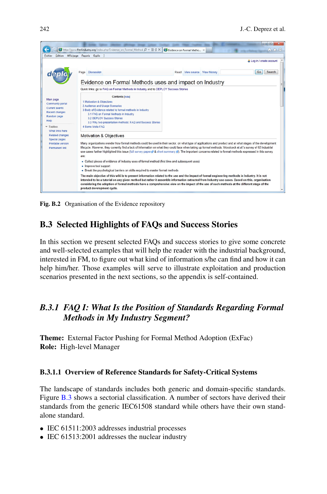

**Fig. B.2** Organisation of the Evidence repository

# <span id="page-31-0"></span>**B.3 Selected Highlights of FAQs and Success Stories**

In this section we present selected FAQs and success stories to give some concrete and well-selected examples that will help the reader with the industrial background, interested in FM, to figure out what kind of information s/he can find and how it can help him/her. Those examples will serve to illustrate exploitation and production scenarios presented in the next sections, so the appendix is self-contained.

# *B.3.1 FAQ I: What Is the Position of Standards Regarding Formal Methods in My Industry Segment?*

**Theme:** External Factor Pushing for Formal Method Adoption (ExFac) **Role:** High-level Manager

# **B.3.1.1 Overview of Reference Standards for Safety-Critical Systems**

The landscape of standards includes both generic and domain-specific standards. Figure [B.3](#page-32-0) shows a sectorial classification. A number of sectors have derived their standards from the generic IEC61508 standard while others have their own standalone standard.

- IEC 61511:2003 addresses industrial processes
- IEC 61513:2001 addresses the nuclear industry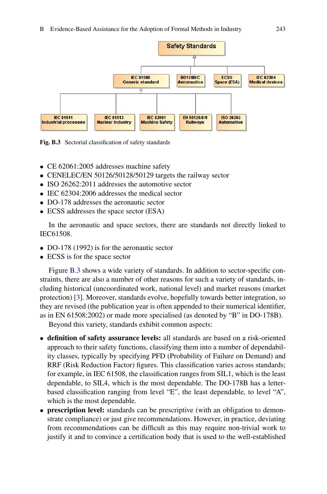<span id="page-32-0"></span>

**Fig. B.3** Sectorial classification of safety standards

- CE 62061:2005 addresses machine safety
- CENELEC/EN 50126/50128/50129 targets the railway sector
- ISO 26262:2011 addresses the automotive sector
- IEC 62304:2006 addresses the medical sector
- DO-178 addresses the aeronautic sector
- ECSS addresses the space sector (ESA)

In the aeronautic and space sectors, there are standards not directly linked to IEC61508.

- DO-178 (1992) is for the aeronautic sector
- ECSS is for the space sector

Figure [B.3](#page-32-0) shows a wide variety of standards. In addition to sector-specific constraints, there are also a number of other reasons for such a variety of standards, including historical (uncoordinated work, national level) and market reasons (market protection) [\[3](#page-48-2)]. Moreover, standards evolve, hopefully towards better integration, so they are revised (the publication year is often appended to their numerical identifier, as in EN 61508:2002) or made more specialised (as denoted by "B" in DO-178B).

Beyond this variety, standards exhibit common aspects:

- **definition of safety assurance levels:** all standards are based on a risk-oriented approach to their safety functions, classifying them into a number of dependability classes, typically by specifying PFD (Probability of Failure on Demand) and RRF (Risk Reduction Factor) figures. This classification varies across standards; for example, in IEC 61508, the classification ranges from SIL1, which is the least dependable, to SIL4, which is the most dependable. The DO-178B has a letterbased classification ranging from level "E", the least dependable, to level "A", which is the most dependable.
- **prescription level:** standards can be prescriptive (with an obligation to demonstrate compliance) or just give recommendations. However, in practice, deviating from recommendations can be difficult as this may require non-trivial work to justify it and to convince a certification body that is used to the well-established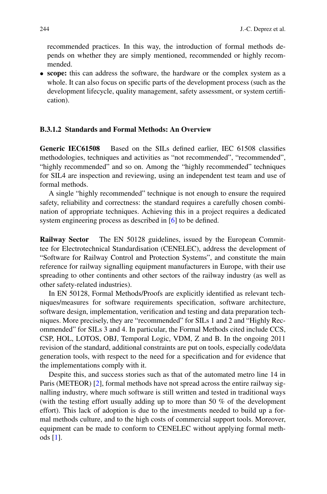recommended practices. In this way, the introduction of formal methods depends on whether they are simply mentioned, recommended or highly recommended.

• **scope:** this can address the software, the hardware or the complex system as a whole. It can also focus on specific parts of the development process (such as the development lifecycle, quality management, safety assessment, or system certification).

#### **B.3.1.2 Standards and Formal Methods: An Overview**

**Generic IEC61508** Based on the SILs defined earlier, IEC 61508 classifies methodologies, techniques and activities as "not recommended", "recommended", "highly recommended" and so on. Among the "highly recommended" techniques for SIL4 are inspection and reviewing, using an independent test team and use of formal methods.

A single "highly recommended" technique is not enough to ensure the required safety, reliability and correctness: the standard requires a carefully chosen combination of appropriate techniques. Achieving this in a project requires a dedicated system engineering process as described in [[6\]](#page-48-3) to be defined.

**Railway Sector** The EN 50128 guidelines, issued by the European Committee for Electrotechnical Standardisation (CENELEC), address the development of "Software for Railway Control and Protection Systems", and constitute the main reference for railway signalling equipment manufacturers in Europe, with their use spreading to other continents and other sectors of the railway industry (as well as other safety-related industries).

In EN 50128, Formal Methods/Proofs are explicitly identified as relevant techniques/measures for software requirements specification, software architecture, software design, implementation, verification and testing and data preparation techniques. More precisely, they are "recommended" for SILs 1 and 2 and "Highly Recommended" for SILs 3 and 4. In particular, the Formal Methods cited include CCS, CSP, HOL, LOTOS, OBJ, Temporal Logic, VDM, Z and B. In the ongoing 2011 revision of the standard, additional constraints are put on tools, especially code/data generation tools, with respect to the need for a specification and for evidence that the implementations comply with it.

Despite this, and success stories such as that of the automated metro line 14 in Paris (METEOR) [\[2](#page-48-4)], formal methods have not spread across the entire railway signalling industry, where much software is still written and tested in traditional ways (with the testing effort usually adding up to more than 50 % of the development effort). This lack of adoption is due to the investments needed to build up a formal methods culture, and to the high costs of commercial support tools. Moreover, equipment can be made to conform to CENELEC without applying formal methods [\[1](#page-48-5)].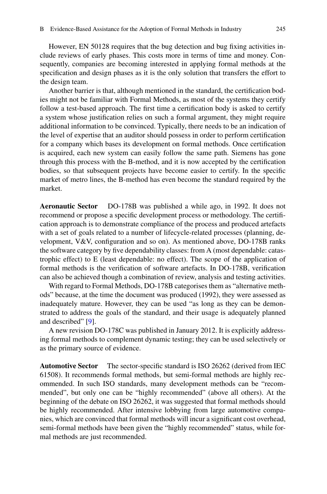However, EN 50128 requires that the bug detection and bug fixing activities include reviews of early phases. This costs more in terms of time and money. Consequently, companies are becoming interested in applying formal methods at the specification and design phases as it is the only solution that transfers the effort to the design team.

Another barrier is that, although mentioned in the standard, the certification bodies might not be familiar with Formal Methods, as most of the systems they certify follow a test-based approach. The first time a certification body is asked to certify a system whose justification relies on such a formal argument, they might require additional information to be convinced. Typically, there needs to be an indication of the level of expertise that an auditor should possess in order to perform certification for a company which bases its development on formal methods. Once certification is acquired, each new system can easily follow the same path. Siemens has gone through this process with the B-method, and it is now accepted by the certification bodies, so that subsequent projects have become easier to certify. In the specific market of metro lines, the B-method has even become the standard required by the market.

**Aeronautic Sector** DO-178B was published a while ago, in 1992. It does not recommend or propose a specific development process or methodology. The certification approach is to demonstrate compliance of the process and produced artefacts with a set of goals related to a number of lifecycle-related processes (planning, development, V&V, configuration and so on). As mentioned above, DO-178B ranks the software category by five dependability classes: from A (most dependable: catastrophic effect) to E (least dependable: no effect). The scope of the application of formal methods is the verification of software artefacts. In DO-178B, verification can also be achieved though a combination of review, analysis and testing activities.

With regard to Formal Methods, DO-178B categorises them as "alternative methods" because, at the time the document was produced (1992), they were assessed as inadequately mature. However, they can be used "as long as they can be demonstrated to address the goals of the standard, and their usage is adequately planned and described" [\[9](#page-48-6)].

A new revision DO-178C was published in January 2012. It is explicitly addressing formal methods to complement dynamic testing; they can be used selectively or as the primary source of evidence.

**Automotive Sector** The sector-specific standard is ISO 26262 (derived from IEC 61508). It recommends formal methods, but semi-formal methods are highly recommended. In such ISO standards, many development methods can be "recommended", but only one can be "highly recommended" (above all others). At the beginning of the debate on ISO 26262, it was suggested that formal methods should be highly recommended. After intensive lobbying from large automotive companies, which are convinced that formal methods will incur a significant cost overhead, semi-formal methods have been given the "highly recommended" status, while formal methods are just recommended.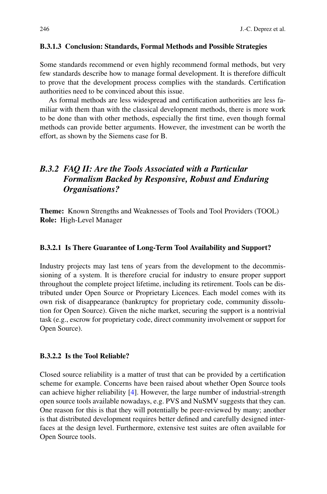#### **B.3.1.3 Conclusion: Standards, Formal Methods and Possible Strategies**

Some standards recommend or even highly recommend formal methods, but very few standards describe how to manage formal development. It is therefore difficult to prove that the development process complies with the standards. Certification authorities need to be convinced about this issue.

As formal methods are less widespread and certification authorities are less familiar with them than with the classical development methods, there is more work to be done than with other methods, especially the first time, even though formal methods can provide better arguments. However, the investment can be worth the effort, as shown by the Siemens case for B.

# *B.3.2 FAQ II: Are the Tools Associated with a Particular Formalism Backed by Responsive, Robust and Enduring Organisations?*

**Theme:** Known Strengths and Weaknesses of Tools and Tool Providers (TOOL) **Role:** High-Level Manager

#### **B.3.2.1 Is There Guarantee of Long-Term Tool Availability and Support?**

Industry projects may last tens of years from the development to the decommissioning of a system. It is therefore crucial for industry to ensure proper support throughout the complete project lifetime, including its retirement. Tools can be distributed under Open Source or Proprietary Licences. Each model comes with its own risk of disappearance (bankruptcy for proprietary code, community dissolution for Open Source). Given the niche market, securing the support is a nontrivial task (e.g., escrow for proprietary code, direct community involvement or support for Open Source).

### **B.3.2.2 Is the Tool Reliable?**

Closed source reliability is a matter of trust that can be provided by a certification scheme for example. Concerns have been raised about whether Open Source tools can achieve higher reliability [\[4](#page-48-7)]. However, the large number of industrial-strength open source tools available nowadays, e.g. PVS and NuSMV suggests that they can. One reason for this is that they will potentially be peer-reviewed by many; another is that distributed development requires better defined and carefully designed interfaces at the design level. Furthermore, extensive test suites are often available for Open Source tools.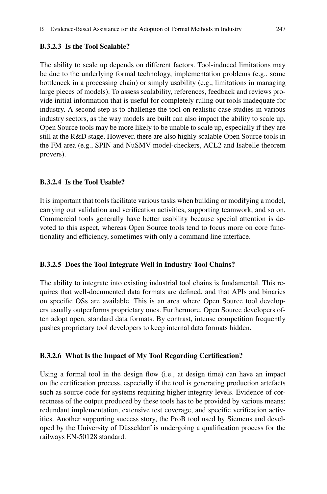#### **B.3.2.3 Is the Tool Scalable?**

The ability to scale up depends on different factors. Tool-induced limitations may be due to the underlying formal technology, implementation problems (e.g., some bottleneck in a processing chain) or simply usability (e.g., limitations in managing large pieces of models). To assess scalability, references, feedback and reviews provide initial information that is useful for completely ruling out tools inadequate for industry. A second step is to challenge the tool on realistic case studies in various industry sectors, as the way models are built can also impact the ability to scale up. Open Source tools may be more likely to be unable to scale up, especially if they are still at the R&D stage. However, there are also highly scalable Open Source tools in the FM area (e.g., SPIN and NuSMV model-checkers, ACL2 and Isabelle theorem provers).

#### **B.3.2.4 Is the Tool Usable?**

It is important that tools facilitate various tasks when building or modifying a model, carrying out validation and verification activities, supporting teamwork, and so on. Commercial tools generally have better usability because special attention is devoted to this aspect, whereas Open Source tools tend to focus more on core functionality and efficiency, sometimes with only a command line interface.

#### **B.3.2.5 Does the Tool Integrate Well in Industry Tool Chains?**

The ability to integrate into existing industrial tool chains is fundamental. This requires that well-documented data formats are defined, and that APIs and binaries on specific OSs are available. This is an area where Open Source tool developers usually outperforms proprietary ones. Furthermore, Open Source developers often adopt open, standard data formats. By contrast, intense competition frequently pushes proprietary tool developers to keep internal data formats hidden.

### **B.3.2.6 What Is the Impact of My Tool Regarding Certification?**

Using a formal tool in the design flow (i.e., at design time) can have an impact on the certification process, especially if the tool is generating production artefacts such as source code for systems requiring higher integrity levels. Evidence of correctness of the output produced by these tools has to be provided by various means: redundant implementation, extensive test coverage, and specific verification activities. Another supporting success story, the ProB tool used by Siemens and developed by the University of Düsseldorf is undergoing a qualification process for the railways EN-50128 standard.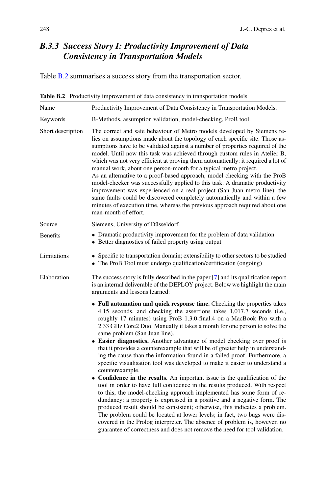# <span id="page-37-0"></span>*B.3.3 Success Story I: Productivity Improvement of Data Consistency in Transportation Models*

Table [B.2](#page-37-0) summarises a success story from the transportation sector.

**Table B.2** Productivity improvement of data consistency in transportation models

| Name              | Productivity Improvement of Data Consistency in Transportation Models.                                                                                                                                                                                                                                                                                                                                                                                                                                                                                                                                                                                                                                                                                                                                                                                                                                                                                                                                                                                                                                                                                                                                                                                                                                                        |
|-------------------|-------------------------------------------------------------------------------------------------------------------------------------------------------------------------------------------------------------------------------------------------------------------------------------------------------------------------------------------------------------------------------------------------------------------------------------------------------------------------------------------------------------------------------------------------------------------------------------------------------------------------------------------------------------------------------------------------------------------------------------------------------------------------------------------------------------------------------------------------------------------------------------------------------------------------------------------------------------------------------------------------------------------------------------------------------------------------------------------------------------------------------------------------------------------------------------------------------------------------------------------------------------------------------------------------------------------------------|
| Keywords          | B-Methods, assumption validation, model-checking, ProB tool.                                                                                                                                                                                                                                                                                                                                                                                                                                                                                                                                                                                                                                                                                                                                                                                                                                                                                                                                                                                                                                                                                                                                                                                                                                                                  |
| Short description | The correct and safe behaviour of Metro models developed by Siemens re-<br>lies on assumptions made about the topology of each specific site. Those as-<br>sumptions have to be validated against a number of properties required of the<br>model. Until now this task was achieved through custom rules in Atelier B,<br>which was not very efficient at proving them automatically: it required a lot of<br>manual work, about one person-month for a typical metro project.<br>As an alternative to a proof-based approach, model checking with the ProB<br>model-checker was successfully applied to this task. A dramatic productivity<br>improvement was experienced on a real project (San Juan metro line): the<br>same faults could be discovered completely automatically and within a few<br>minutes of execution time, whereas the previous approach required about one<br>man-month of effort.                                                                                                                                                                                                                                                                                                                                                                                                                   |
| Source            | Siemens, University of Düsseldorf.                                                                                                                                                                                                                                                                                                                                                                                                                                                                                                                                                                                                                                                                                                                                                                                                                                                                                                                                                                                                                                                                                                                                                                                                                                                                                            |
| <b>Benefits</b>   | • Dramatic productivity improvement for the problem of data validation<br>• Better diagnostics of failed property using output                                                                                                                                                                                                                                                                                                                                                                                                                                                                                                                                                                                                                                                                                                                                                                                                                                                                                                                                                                                                                                                                                                                                                                                                |
| Limitations       | • Specific to transportation domain; extensibility to other sectors to be studied<br>• The ProB Tool must undergo qualification/certification (ongoing)                                                                                                                                                                                                                                                                                                                                                                                                                                                                                                                                                                                                                                                                                                                                                                                                                                                                                                                                                                                                                                                                                                                                                                       |
| Elaboration       | The success story is fully described in the paper [7] and its qualification report<br>is an internal deliverable of the DEPLOY project. Below we highlight the main<br>arguments and lessons learned:                                                                                                                                                                                                                                                                                                                                                                                                                                                                                                                                                                                                                                                                                                                                                                                                                                                                                                                                                                                                                                                                                                                         |
|                   | • Full automation and quick response time. Checking the properties takes<br>4.15 seconds, and checking the assertions takes 1,017.7 seconds (i.e.,<br>roughly 17 minutes) using ProB 1.3.0-final.4 on a MacBook Pro with a<br>2.33 GHz Core2 Duo. Manually it takes a month for one person to solve the<br>same problem (San Juan line).<br>• Easier diagnostics. Another advantage of model checking over proof is<br>that it provides a counterexample that will be of greater help in understand-<br>ing the cause than the information found in a failed proof. Furthermore, a<br>specific visualisation tool was developed to make it easier to understand a<br>counterexample.<br>• Confidence in the results. An important issue is the qualification of the<br>tool in order to have full confidence in the results produced. With respect<br>to this, the model-checking approach implemented has some form of re-<br>dundancy: a property is expressed in a positive and a negative form. The<br>produced result should be consistent; otherwise, this indicates a problem.<br>The problem could be located at lower levels; in fact, two bugs were dis-<br>covered in the Prolog interpreter. The absence of problem is, however, no<br>guarantee of correctness and does not remove the need for tool validation. |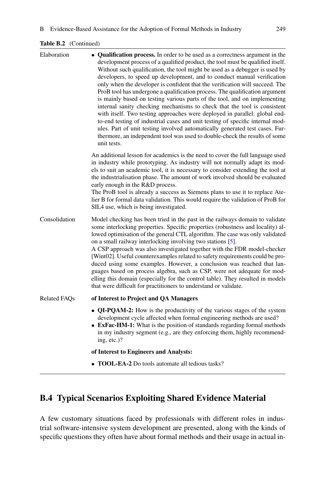#### **Table B.2** (Continued)

| Elaboration         | • Qualification process. In order to be used as a correctness argument in the<br>development process of a qualified product, the tool must be qualified itself.<br>Without such qualification, the tool might be used as a debugger is used by<br>developers, to speed up development, and to conduct manual verification<br>only when the developer is confident that the verification will succeed. The<br>ProB tool has undergone a qualification process. The qualification argument<br>is mainly based on testing various parts of the tool, and on implementing<br>internal sanity checking mechanisms to check that the tool is consistent<br>with itself. Two testing approaches were deployed in parallel: global end-<br>to-end testing of industrial cases and unit testing of specific internal mod-<br>ules. Part of unit testing involved automatically generated test cases. Fur-<br>thermore, an independent tool was used to double-check the results of some<br>unit tests. |
|---------------------|-----------------------------------------------------------------------------------------------------------------------------------------------------------------------------------------------------------------------------------------------------------------------------------------------------------------------------------------------------------------------------------------------------------------------------------------------------------------------------------------------------------------------------------------------------------------------------------------------------------------------------------------------------------------------------------------------------------------------------------------------------------------------------------------------------------------------------------------------------------------------------------------------------------------------------------------------------------------------------------------------|
|                     | An additional lesson for academics is the need to cover the full language used<br>in industry while prototyping. As industry will not normally adapt its mod-<br>els to suit an academic tool, it is necessary to consider extending the tool at<br>the industrialisation phase. The amount of work involved should be evaluated<br>early enough in the R&D process.<br>The ProB tool is already a success as Siemens plans to use it to replace Ate-<br>lier B for formal data validation. This would require the validation of ProB for<br>SIL4 use, which is being investigated.                                                                                                                                                                                                                                                                                                                                                                                                           |
| Consolidation       | Model checking has been tried in the past in the railways domain to validate<br>some interlocking properties. Specific properties (robustness and locality) al-<br>lowed optimisation of the general CTL algorithm. The case was only validated<br>on a small railway interlocking involving two stations [5].<br>A CSP approach was also investigated together with the FDR model-checker<br>[Wint02]. Useful counterexamples related to safety requirements could be pro-<br>duced using some examples. However, a conclusion was reached that lan-<br>guages based on process algebra, such as CSP, were not adequate for mod-<br>elling this domain (especially for the control table). They resulted in models<br>that were difficult for practitioners to understand or validate.                                                                                                                                                                                                       |
| <b>Related FAQs</b> | of Interest to Project and QA Managers                                                                                                                                                                                                                                                                                                                                                                                                                                                                                                                                                                                                                                                                                                                                                                                                                                                                                                                                                        |
|                     | • QI-PQAM-2: How is the productivity of the various stages of the system<br>development cycle affected when formal engineering methods are used?<br>• ExFac-HM-1: What is the position of standards regarding formal methods<br>in my industry segment (e.g., are they enforcing them, highly recommend-<br>ing, $etc.$ )?                                                                                                                                                                                                                                                                                                                                                                                                                                                                                                                                                                                                                                                                    |
|                     | of Interest to Engineers and Analysts:                                                                                                                                                                                                                                                                                                                                                                                                                                                                                                                                                                                                                                                                                                                                                                                                                                                                                                                                                        |
|                     | • <b>TOOL-EA-2</b> Do tools automate all tedious tasks?                                                                                                                                                                                                                                                                                                                                                                                                                                                                                                                                                                                                                                                                                                                                                                                                                                                                                                                                       |

# **B.4 Typical Scenarios Exploiting Shared Evidence Material**

A few customary situations faced by professionals with different roles in industrial software-intensive system development are presented, along with the kinds of specific questions they often have about formal methods and their usage in actual in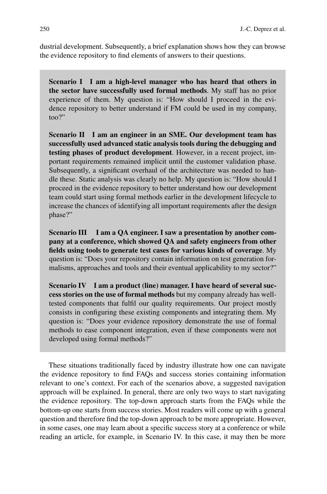dustrial development. Subsequently, a brief explanation shows how they can browse the evidence repository to find elements of answers to their questions.

**Scenario I I am a high-level manager who has heard that others in the sector have successfully used formal methods**. My staff has no prior experience of them. My question is: "How should I proceed in the evidence repository to better understand if FM could be used in my company, too?"

**Scenario II I am an engineer in an SME. Our development team has successfully used advanced static analysis tools during the debugging and testing phases of product development**. However, in a recent project, important requirements remained implicit until the customer validation phase. Subsequently, a significant overhaul of the architecture was needed to handle these. Static analysis was clearly no help. My question is: "How should I proceed in the evidence repository to better understand how our development team could start using formal methods earlier in the development lifecycle to increase the chances of identifying all important requirements after the design phase?"

Scenario III I am a QA engineer. I saw a presentation by another com**pany at a conference, which showed QA and safety engineers from other fields using tools to generate test cases for various kinds of coverage**. My question is: "Does your repository contain information on test generation formalisms, approaches and tools and their eventual applicability to my sector?"

**Scenario IV I am a product (line) manager. I have heard of several success stories on the use of formal methods** but my company already has welltested components that fulfil our quality requirements. Our project mostly consists in configuring these existing components and integrating them. My question is: "Does your evidence repository demonstrate the use of formal methods to ease component integration, even if these components were not developed using formal methods?"

These situations traditionally faced by industry illustrate how one can navigate the evidence repository to find FAQs and success stories containing information relevant to one's context. For each of the scenarios above, a suggested navigation approach will be explained. In general, there are only two ways to start navigating the evidence repository. The top-down approach starts from the FAQs while the bottom-up one starts from success stories. Most readers will come up with a general question and therefore find the top-down approach to be more appropriate. However, in some cases, one may learn about a specific success story at a conference or while reading an article, for example, in Scenario IV. In this case, it may then be more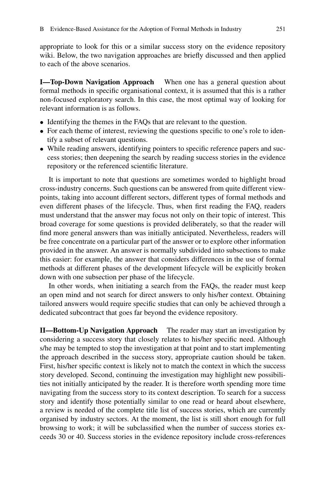appropriate to look for this or a similar success story on the evidence repository wiki. Below, the two navigation approaches are briefly discussed and then applied to each of the above scenarios.

**I—Top-Down Navigation Approach** When one has a general question about formal methods in specific organisational context, it is assumed that this is a rather non-focused exploratory search. In this case, the most optimal way of looking for relevant information is as follows.

- Identifying the themes in the FAQs that are relevant to the question.
- For each theme of interest, reviewing the questions specific to one's role to identify a subset of relevant questions.
- While reading answers, identifying pointers to specific reference papers and success stories; then deepening the search by reading success stories in the evidence repository or the referenced scientific literature.

It is important to note that questions are sometimes worded to highlight broad cross-industry concerns. Such questions can be answered from quite different viewpoints, taking into account different sectors, different types of formal methods and even different phases of the lifecycle. Thus, when first reading the FAQ, readers must understand that the answer may focus not only on their topic of interest. This broad coverage for some questions is provided deliberately, so that the reader will find more general answers than was initially anticipated. Nevertheless, readers will be free concentrate on a particular part of the answer or to explore other information provided in the answer. An answer is normally subdivided into subsections to make this easier: for example, the answer that considers differences in the use of formal methods at different phases of the development lifecycle will be explicitly broken down with one subsection per phase of the lifecycle.

In other words, when initiating a search from the FAQs, the reader must keep an open mind and not search for direct answers to only his/her context. Obtaining tailored answers would require specific studies that can only be achieved through a dedicated subcontract that goes far beyond the evidence repository.

**II—Bottom-Up Navigation Approach** The reader may start an investigation by considering a success story that closely relates to his/her specific need. Although s/he may be tempted to stop the investigation at that point and to start implementing the approach described in the success story, appropriate caution should be taken. First, his/her specific context is likely not to match the context in which the success story developed. Second, continuing the investigation may highlight new possibilities not initially anticipated by the reader. It is therefore worth spending more time navigating from the success story to its context description. To search for a success story and identify those potentially similar to one read or heard about elsewhere, a review is needed of the complete title list of success stories, which are currently organised by industry sectors. At the moment, the list is still short enough for full browsing to work; it will be subclassified when the number of success stories exceeds 30 or 40. Success stories in the evidence repository include cross-references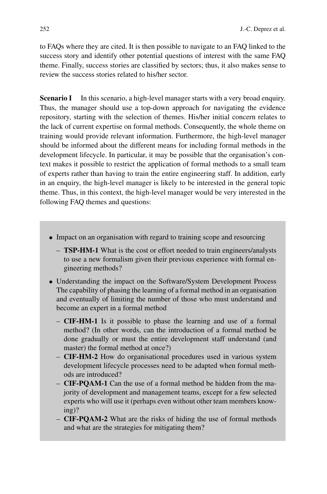to FAQs where they are cited. It is then possible to navigate to an FAQ linked to the success story and identify other potential questions of interest with the same FAQ theme. Finally, success stories are classified by sectors; thus, it also makes sense to review the success stories related to his/her sector.

**Scenario I** In this scenario, a high-level manager starts with a very broad enquiry. Thus, the manager should use a top-down approach for navigating the evidence repository, starting with the selection of themes. His/her initial concern relates to the lack of current expertise on formal methods. Consequently, the whole theme on training would provide relevant information. Furthermore, the high-level manager should be informed about the different means for including formal methods in the development lifecycle. In particular, it may be possible that the organisation's context makes it possible to restrict the application of formal methods to a small team of experts rather than having to train the entire engineering staff. In addition, early in an enquiry, the high-level manager is likely to be interested in the general topic theme. Thus, in this context, the high-level manager would be very interested in the following FAQ themes and questions:

- Impact on an organisation with regard to training scope and resourcing
	- **TSP-HM-1** What is the cost or effort needed to train engineers/analysts to use a new formalism given their previous experience with formal engineering methods?
- Understanding the impact on the Software/System Development Process The capability of phasing the learning of a formal method in an organisation and eventually of limiting the number of those who must understand and become an expert in a formal method
	- **CIF-HM-1** Is it possible to phase the learning and use of a formal method? (In other words, can the introduction of a formal method be done gradually or must the entire development staff understand (and master) the formal method at once?)
	- **CIF-HM-2** How do organisational procedures used in various system development lifecycle processes need to be adapted when formal methods are introduced?
	- **CIF-PQAM-1** Can the use of a formal method be hidden from the majority of development and management teams, except for a few selected experts who will use it (perhaps even without other team members knowing)?
	- **CIF-PQAM-2** What are the risks of hiding the use of formal methods and what are the strategies for mitigating them?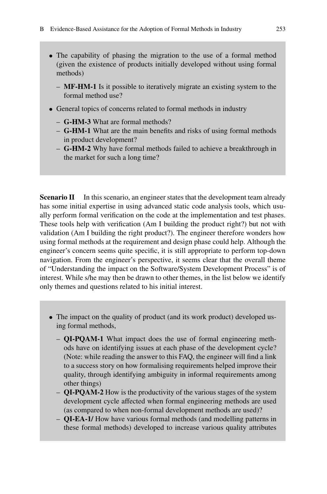- The capability of phasing the migration to the use of a formal method (given the existence of products initially developed without using formal methods)
	- **MF-HM-1** Is it possible to iteratively migrate an existing system to the formal method use?
- General topics of concerns related to formal methods in industry
	- **G-HM-3** What are formal methods?
	- **G-HM-1** What are the main benefits and risks of using formal methods in product development?
	- **G-HM-2** Why have formal methods failed to achieve a breakthrough in the market for such a long time?

**Scenario II** In this scenario, an engineer states that the development team already has some initial expertise in using advanced static code analysis tools, which usually perform formal verification on the code at the implementation and test phases. These tools help with verification (Am I building the product right?) but not with validation (Am I building the right product?). The engineer therefore wonders how using formal methods at the requirement and design phase could help. Although the engineer's concern seems quite specific, it is still appropriate to perform top-down navigation. From the engineer's perspective, it seems clear that the overall theme of "Understanding the impact on the Software/System Development Process" is of interest. While s/he may then be drawn to other themes, in the list below we identify only themes and questions related to his initial interest.

- The impact on the quality of product (and its work product) developed using formal methods,
	- **QI-PQAM-1** What impact does the use of formal engineering methods have on identifying issues at each phase of the development cycle? (Note: while reading the answer to this FAQ, the engineer will find a link to a success story on how formalising requirements helped improve their quality, through identifying ambiguity in informal requirements among other things)
	- **QI-PQAM-2** How is the productivity of the various stages of the system development cycle affected when formal engineering methods are used (as compared to when non-formal development methods are used)?
	- **QI-EA-1/** How have various formal methods (and modelling patterns in these formal methods) developed to increase various quality attributes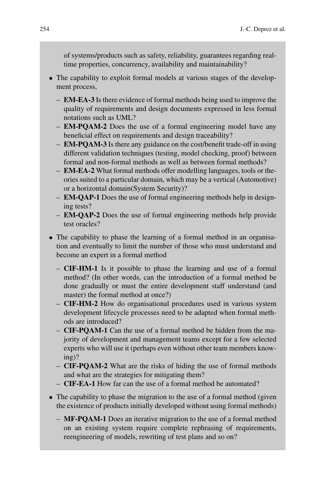of systems/products such as safety, reliability, guarantees regarding realtime properties, concurrency, availability and maintainability?

- The capability to exploit formal models at various stages of the development process,
	- **EM-EA-3** Is there evidence of formal methods being used to improve the quality of requirements and design documents expressed in less formal notations such as UML?
	- **EM-PQAM-2** Does the use of a formal engineering model have any beneficial effect on requirements and design traceability?
	- **EM-PQAM-3** Is there any guidance on the cost/benefit trade-off in using different validation techniques (testing, model checking, proof) between formal and non-formal methods as well as between formal methods?
	- **EM-EA-2** What formal methods offer modelling languages, tools or theories suited to a particular domain, which may be a vertical (Automotive) or a horizontal domain(System Security)?
	- **EM-QAP-1** Does the use of formal engineering methods help in designing tests?
	- **EM-QAP-2** Does the use of formal engineering methods help provide test oracles?
- The capability to phase the learning of a formal method in an organisation and eventually to limit the number of those who must understand and become an expert in a formal method
	- **CIF-HM-1** Is it possible to phase the learning and use of a formal method? (In other words, can the introduction of a formal method be done gradually or must the entire development staff understand (and master) the formal method at once?)
	- **CIF-HM-2** How do organisational procedures used in various system development lifecycle processes need to be adapted when formal methods are introduced?
	- **CIF-PQAM-1** Can the use of a formal method be hidden from the majority of development and management teams except for a few selected experts who will use it (perhaps even without other team members knowing)?
	- **CIF-PQAM-2** What are the risks of hiding the use of formal methods and what are the strategies for mitigating them?
	- **CIF-EA-1** How far can the use of a formal method be automated?
- The capability to phase the migration to the use of a formal method (given the existence of products initially developed without using formal methods)
	- **MF-PQAM-1** Does an iterative migration to the use of a formal method on an existing system require complete rephrasing of requirements, reengineering of models, rewriting of test plans and so on?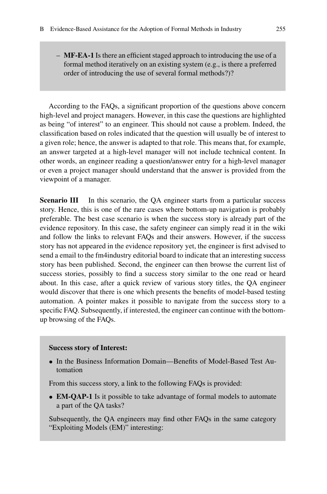– **MF-EA-1** Is there an efficient staged approach to introducing the use of a formal method iteratively on an existing system (e.g., is there a preferred order of introducing the use of several formal methods?)?

According to the FAQs, a significant proportion of the questions above concern high-level and project managers. However, in this case the questions are highlighted as being "of interest" to an engineer. This should not cause a problem. Indeed, the classification based on roles indicated that the question will usually be of interest to a given role; hence, the answer is adapted to that role. This means that, for example, an answer targeted at a high-level manager will not include technical content. In other words, an engineer reading a question/answer entry for a high-level manager or even a project manager should understand that the answer is provided from the viewpoint of a manager.

**Scenario III** In this scenario, the QA engineer starts from a particular success story. Hence, this is one of the rare cases where bottom-up navigation is probably preferable. The best case scenario is when the success story is already part of the evidence repository. In this case, the safety engineer can simply read it in the wiki and follow the links to relevant FAQs and their answers. However, if the success story has not appeared in the evidence repository yet, the engineer is first advised to send a email to the fm4industry editorial board to indicate that an interesting success story has been published. Second, the engineer can then browse the current list of success stories, possibly to find a success story similar to the one read or heard about. In this case, after a quick review of various story titles, the QA engineer would discover that there is one which presents the benefits of model-based testing automation. A pointer makes it possible to navigate from the success story to a specific FAQ. Subsequently, if interested, the engineer can continue with the bottomup browsing of the FAQs.

### **Success story of Interest:**

• In the Business Information Domain—Benefits of Model-Based Test Automation

From this success story, a link to the following FAQs is provided:

• **EM-QAP-1** Is it possible to take advantage of formal models to automate a part of the QA tasks?

Subsequently, the QA engineers may find other FAQs in the same category "Exploiting Models (EM)" interesting: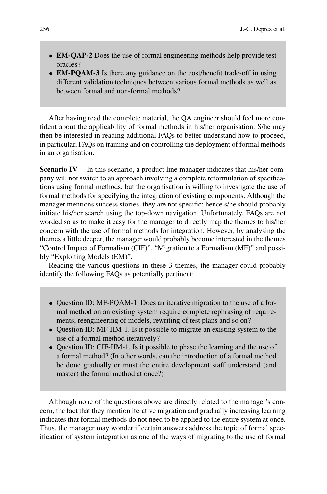- **EM-QAP-2** Does the use of formal engineering methods help provide test oracles?
- **EM-PQAM-3** Is there any guidance on the cost/benefit trade-off in using different validation techniques between various formal methods as well as between formal and non-formal methods?

After having read the complete material, the QA engineer should feel more confident about the applicability of formal methods in his/her organisation. S/he may then be interested in reading additional FAQs to better understand how to proceed, in particular, FAQs on training and on controlling the deployment of formal methods in an organisation.

**Scenario IV** In this scenario, a product line manager indicates that his/her company will not switch to an approach involving a complete reformulation of specifications using formal methods, but the organisation is willing to investigate the use of formal methods for specifying the integration of existing components. Although the manager mentions success stories, they are not specific; hence s/he should probably initiate his/her search using the top-down navigation. Unfortunately, FAQs are not worded so as to make it easy for the manager to directly map the themes to his/her concern with the use of formal methods for integration. However, by analysing the themes a little deeper, the manager would probably become interested in the themes "Control Impact of Formalism (CIF)", "Migration to a Formalism (MF)" and possibly "Exploiting Models (EM)".

Reading the various questions in these 3 themes, the manager could probably identify the following FAQs as potentially pertinent:

- Question ID: MF-PQAM-1. Does an iterative migration to the use of a formal method on an existing system require complete rephrasing of requirements, reengineering of models, rewriting of test plans and so on?
- Question ID: MF-HM-1. Is it possible to migrate an existing system to the use of a formal method iteratively?
- Question ID: CIF-HM-1. Is it possible to phase the learning and the use of a formal method? (In other words, can the introduction of a formal method be done gradually or must the entire development staff understand (and master) the formal method at once?)

Although none of the questions above are directly related to the manager's concern, the fact that they mention iterative migration and gradually increasing learning indicates that formal methods do not need to be applied to the entire system at once. Thus, the manager may wonder if certain answers address the topic of formal specification of system integration as one of the ways of migrating to the use of formal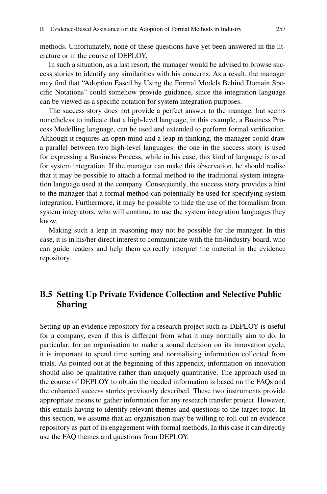methods. Unfortunately, none of these questions have yet been answered in the literature or in the course of DEPLOY.

In such a situation, as a last resort, the manager would be advised to browse success stories to identify any similarities with his concerns. As a result, the manager may find that "Adoption Eased by Using the Formal Models Behind Domain Specific Notations" could somehow provide guidance, since the integration language can be viewed as a specific notation for system integration purposes.

The success story does not provide a perfect answer to the manager but seems nonetheless to indicate that a high-level language, in this example, a Business Process Modelling language, can be used and extended to perform formal verification. Although it requires an open mind and a leap in thinking, the manager could draw a parallel between two high-level languages: the one in the success story is used for expressing a Business Process, while in his case, this kind of language is used for system integration. If the manager can make this observation, he should realise that it may be possible to attach a formal method to the traditional system integration language used at the company. Consequently, the success story provides a hint to the manager that a formal method can potentially be used for specifying system integration. Furthermore, it may be possible to hide the use of the formalism from system integrators, who will continue to use the system integration languages they know.

Making such a leap in reasoning may not be possible for the manager. In this case, it is in his/her direct interest to communicate with the fm4industry board, who can guide readers and help them correctly interpret the material in the evidence repository.

# **B.5 Setting Up Private Evidence Collection and Selective Public Sharing**

Setting up an evidence repository for a research project such as DEPLOY is useful for a company, even if this is different from what it may normally aim to do. In particular, for an organisation to make a sound decision on its innovation cycle, it is important to spend time sorting and normalising information collected from trials. As pointed out at the beginning of this appendix, information on innovation should also be qualitative rather than uniquely quantitative. The approach used in the course of DEPLOY to obtain the needed information is based on the FAQs and the enhanced success stories previously described. These two instruments provide appropriate means to gather information for any research transfer project. However, this entails having to identify relevant themes and questions to the target topic. In this section, we assume that an organisation may be willing to roll out an evidence repository as part of its engagement with formal methods. In this case it can directly use the FAQ themes and questions from DEPLOY.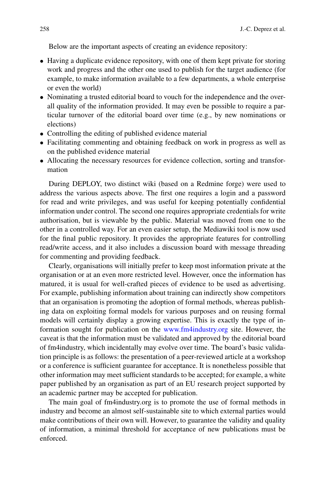Below are the important aspects of creating an evidence repository:

- Having a duplicate evidence repository, with one of them kept private for storing work and progress and the other one used to publish for the target audience (for example, to make information available to a few departments, a whole enterprise or even the world)
- Nominating a trusted editorial board to vouch for the independence and the overall quality of the information provided. It may even be possible to require a particular turnover of the editorial board over time (e.g., by new nominations or elections)
- Controlling the editing of published evidence material
- Facilitating commenting and obtaining feedback on work in progress as well as on the published evidence material
- Allocating the necessary resources for evidence collection, sorting and transformation

During DEPLOY, two distinct wiki (based on a Redmine forge) were used to address the various aspects above. The first one requires a login and a password for read and write privileges, and was useful for keeping potentially confidential information under control. The second one requires appropriate credentials for write authorisation, but is viewable by the public. Material was moved from one to the other in a controlled way. For an even easier setup, the Mediawiki tool is now used for the final public repository. It provides the appropriate features for controlling read/write access, and it also includes a discussion board with message threading for commenting and providing feedback.

Clearly, organisations will initially prefer to keep most information private at the organisation or at an even more restricted level. However, once the information has matured, it is usual for well-crafted pieces of evidence to be used as advertising. For example, publishing information about training can indirectly show competitors that an organisation is promoting the adoption of formal methods, whereas publishing data on exploiting formal models for various purposes and on reusing formal models will certainly display a growing expertise. This is exactly the type of information sought for publication on the [www.fm4industry.org](http://www.fm4industry.org) site. However, the caveat is that the information must be validated and approved by the editorial board of fm4industry, which incidentally may evolve over time. The board's basic validation principle is as follows: the presentation of a peer-reviewed article at a workshop or a conference is sufficient guarantee for acceptance. It is nonetheless possible that other information may meet sufficient standards to be accepted; for example, a white paper published by an organisation as part of an EU research project supported by an academic partner may be accepted for publication.

The main goal of fm4industry.org is to promote the use of formal methods in industry and become an almost self-sustainable site to which external parties would make contributions of their own will. However, to guarantee the validity and quality of information, a minimal threshold for acceptance of new publications must be enforced.